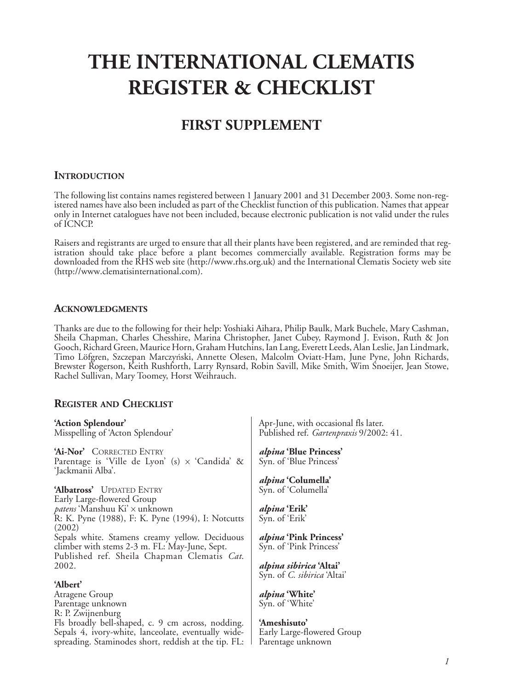# **THE INTERNATIONAL CLEMATIS REGISTER & CHECKLIST**

# **FIRST SUPPLEMENT**

# **INTRODUCTION**

The following list contains names registered between 1 January 2001 and 31 December 2003. Some non-registered names have also been included as part of the Checklist function of this publication. Names that appear only in Internet catalogues have not been included, because electronic publication is not valid under the rules of ICNCP.

Raisers and registrants are urged to ensure that all their plants have been registered, and are reminded that registration should take place before a plant becomes commercially available. Registration forms may be downloaded from the RHS web site (http://www.rhs.org.uk) and the International Clematis Society web site (http://www.clematisinternational.com).

### **ACKNOWLEDGMENTS**

Thanks are due to the following for their help: Yoshiaki Aihara, Philip Baulk, Mark Buchele, Mary Cashman, Sheila Chapman, Charles Chesshire, Marina Christopher, Janet Cubey, Raymond J. Evison, Ruth & Jon Gooch, Richard Green, Maurice Horn, Graham Hutchins, Ian Lang, Everett Leeds, Alan Leslie, Jan Lindmark, Timo Löfgren, Szczepan Marczyński, Annette Olesen, Malcolm Oviatt-Ham, June Pyne, John Richards, Brewster Rogerson, Keith Rushforth, Larry Rynsard, Robin Savill, Mike Smith, Wim Snoeijer, Jean Stowe, Rachel Sullivan, Mary Toomey, Horst Weihrauch.

# **REGISTER AND CHECKLIST**

| Apr-June, with occasional fls later.<br>Published ref. <i>Gartenpraxis</i> 9/2002: 41. |
|----------------------------------------------------------------------------------------|
| <i>alpina</i> 'Blue Princess'<br>Syn. of 'Blue Princess'                               |
| <i>alpina</i> 'Columella'<br>Syn. of 'Columella'                                       |
| <i>alpina</i> 'Erik'<br>Syn. of 'Erik'                                                 |
| <i>alpina</i> 'Pink Princess'<br>Syn. of 'Pink Princess'                               |
| <i>alpina sibirica</i> 'Altai'<br>Syn. of C. sibirica 'Altai'                          |
|                                                                                        |
| <i>alpina</i> 'White'                                                                  |
| Syn. of 'White'                                                                        |
| 'Ameshisuto'                                                                           |
| Early Large-flowered Group                                                             |
|                                                                                        |

spreading. Staminodes short, reddish at the tip. FL: Parentage unknown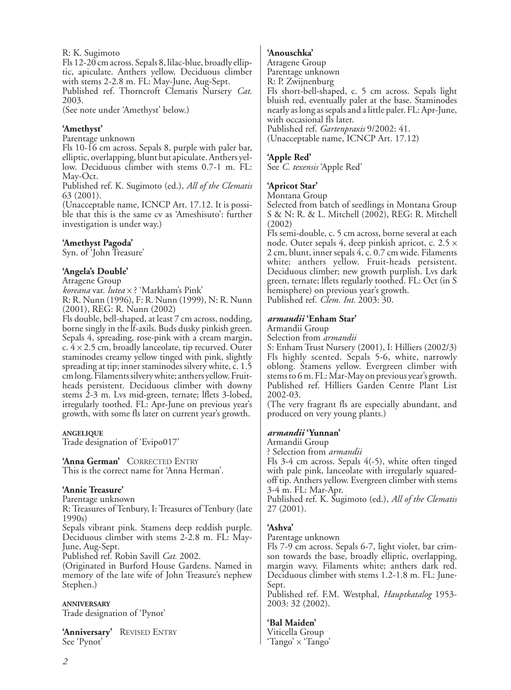R: K. Sugimoto

Fls 12-20 cm across. Sepals 8, lilac-blue, broadly elliptic, apiculate. Anthers yellow. Deciduous climber with stems 2-2.8 m. FL: May-June, Aug-Sept. Published ref. Thorncroft Clematis Nursery *Cat.* 2003.

(See note under 'Amethyst' below.)

### **'Amethyst'**

Parentage unknown

Fls 10-16 cm across. Sepals 8, purple with paler bar, elliptic, overlapping, blunt but apiculate. Anthers yellow. Deciduous climber with stems 0.7-1 m. FL: May-Oct.

Published ref. K. Sugimoto (ed.), *All of the Clematis* 63 (2001).

(Unacceptable name, ICNCP Art. 17.12. It is possible that this is the same cv as 'Ameshisuto': further investigation is under way.)

#### **'Amethyst Pagoda'**

Syn. of 'John Treasure'

### **'Angela's Double'**

Atragene Group

*koreana* var. *lutea* x ? 'Markham's Pink' R: R. Nunn (1996), F: R. Nunn (1999), N: R. Nunn (2001), REG: R. Nunn (2002)

Fls double, bell-shaped, at least 7 cm across, nodding, borne singly in the lf-axils. Buds dusky pinkish green. Sepals 4, spreading, rose-pink with a cream margin, c.  $4 \times 2.5$  cm, broadly lanceolate, tip recurved. Outer staminodes creamy yellow tinged with pink, slightly spreading at tip; inner staminodes silvery white, c. 1.5 cm long. Filaments silvery white; anthers yellow. Fruitheads persistent. Deciduous climber with downy stems 2-3 m. Lvs mid-green, ternate; lflets 3-lobed, irregularly toothed. FL: Apr-June on previous year's growth, with some fls later on current year's growth.

#### **ANGELIQUE**

Trade designation of 'Evipo017'

**'Anna German'** CORRECTED ENTRY This is the correct name for 'Anna Herman'.

#### **'Annie Treasure'**

Parentage unknown

R: Treasures of Tenbury, I: Treasures of Tenbury (late 1990s)

Sepals vibrant pink. Stamens deep reddish purple. Deciduous climber with stems 2-2.8 m. FL: May-June, Aug-Sept.

Published ref. Robin Savill *Cat.* 2002.

(Originated in Burford House Gardens. Named in memory of the late wife of John Treasure's nephew Stephen.)

**ANNIVERSARY** Trade designation of 'Pynot'

**'Anniversary'** REVISED ENTRY See 'Pynot'

#### **'Anouschka'**

Atragene Group

Parentage unknown

R: P. Zwijnenburg

Fls short-bell-shaped, c. 5 cm across. Sepals light bluish red, eventually paler at the base. Staminodes nearly as long as sepals and a little paler. FL: Apr-June, with occasional fls later. Published ref. *Gartenpraxis* 9/2002: 41.

(Unacceptable name, ICNCP Art. 17.12)

#### **'Apple Red'**

See *C. texensis* 'Apple Red'

# **'Apricot Star'**

Montana Group

Selected from batch of seedlings in Montana Group S & N: R. & L. Mitchell (2002), REG: R. Mitchell (2002)

Fls semi-double, c. 5 cm across, borne several at each node. Outer sepals 4, deep pinkish apricot, c.  $2.5 \times$ 2 cm, blunt, inner sepals 4, c. 0.7 cm wide. Filaments white; anthers yellow. Fruit-heads persistent. Deciduous climber; new growth purplish. Lvs dark green, ternate; lflets regularly toothed. FL: Oct (in S hemisphere) on previous year's growth. Published ref. *Clem. Int.* 2003: 30.

#### *armandii* **'Enham Star'**

Armandii Group

Selection from *armandii*

S: Enham Trust Nursery (2001), I: Hilliers (2002/3) Fls highly scented. Sepals 5-6, white, narrowly oblong. Stamens yellow. Evergreen climber with stems to 6 m. FL: Mar-May on previous year's growth. Published ref. Hilliers Garden Centre Plant List 2002-03.

(The very fragrant fls are especially abundant, and produced on very young plants.)

#### *armandii* **'Yunnan'**

Armandii Group

? Selection from *armandii*

Fls 3-4 cm across. Sepals 4(-5), white often tinged with pale pink, lanceolate with irregularly squaredoff tip. Anthers yellow. Evergreen climber with stems 3-4 m. FL: Mar-Apr.

Published ref. K. Sugimoto (ed.), *All of the Clematis* 27 (2001).

# **'Ashva'**

Parentage unknown

Fls 7-9 cm across. Sepals 6-7, light violet, bar crimson towards the base, broadly elliptic, overlapping, margin wavy. Filaments white; anthers dark red. Deciduous climber with stems 1.2-1.8 m. FL: June-Sept.

Published ref. F.M. Westphal, *Hauptkatalog* 1953- 2003: 32 (2002).

#### **'Bal Maiden'**

Viticella Group 'Tango' x 'Tango'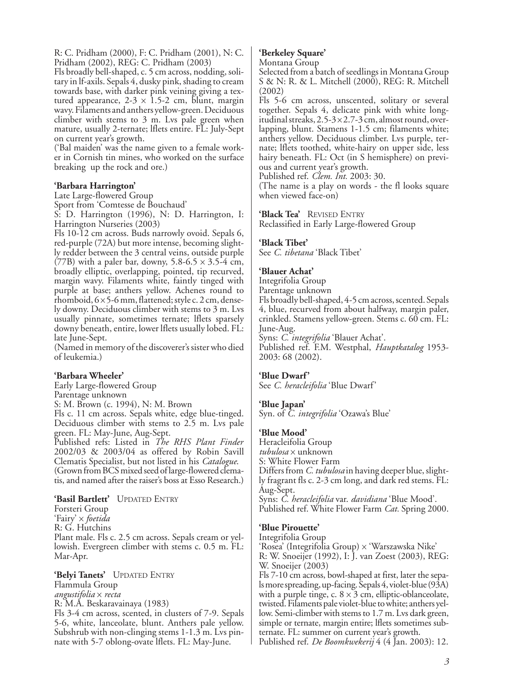R: C. Pridham (2000), F: C. Pridham (2001), N: C. Pridham (2002), REG: C. Pridham (2003)

Fls broadly bell-shaped, c. 5 cm across, nodding, solitary in lf-axils. Sepals 4, dusky pink, shading to cream towards base, with darker pink veining giving a textured appearance,  $2-3 \times 1.5-2$  cm, blunt, margin wavy. Filaments and anthers yellow-green. Deciduous climber with stems to 3 m. Lvs pale green when mature, usually 2-ternate; lflets entire. FL: July-Sept on current year's growth.

('Bal maiden' was the name given to a female worker in Cornish tin mines, who worked on the surface breaking up the rock and ore.)

#### **'Barbara Harrington'**

Late Large-flowered Group Sport from 'Comtesse de Bouchaud' S: D. Harrington (1996), N: D. Harrington, I: Harrington Nurseries (2003)

Fls 10-12 cm across. Buds narrowly ovoid. Sepals 6, red-purple (72A) but more intense, becoming slightly redder between the 3 central veins, outside purple (77B) with a paler bar, downy,  $5.8-6.5 \times 3.5-4$  cm, broadly elliptic, overlapping, pointed, tip recurved, margin wavy. Filaments white, faintly tinged with purple at base; anthers yellow. Achenes round to rhomboid,  $6 \times 5$ -6 mm, flattened; style c. 2 cm, densely downy. Deciduous climber with stems to 3 m. Lvs usually pinnate, sometimes ternate; lflets sparsely downy beneath, entire, lower lflets usually lobed. FL: late June-Sept.

(Named in memory of the discoverer's sister who died of leukemia.)

#### **'Barbara Wheeler'**

Early Large-flowered Group Parentage unknown S: M. Brown (c. 1994), N: M. Brown Fls c. 11 cm across. Sepals white, edge blue-tinged. Deciduous climber with stems to 2.5 m. Lvs pale green. FL: May-June, Aug-Sept. Published refs: Listed in *The RHS Plant Finder* 2002/03 & 2003/04 as offered by Robin Savill

Clematis Specialist, but not listed in his *Catalogue*. (Grown from BCS mixed seed of large-flowered clematis, and named after the raiser's boss at Esso Research.)

#### **'Basil Bartlett'** UPDATED ENTRY

Forsteri Group 'Fairy' x *foetida* R: G. Hutchins Plant male. Fls c. 2.5 cm across. Sepals cream or yellowish. Evergreen climber with stems c. 0.5 m. FL: Mar-Apr.

**'Belyi Tanets'** UPDATED ENTRY Flammula Group *angustifolia* x *recta* R: M.A. Beskaravainaya (1983)

Fls 3-4 cm across, scented, in clusters of 7-9. Sepals 5-6, white, lanceolate, blunt. Anthers pale yellow. Subshrub with non-clinging stems 1-1.3 m. Lvs pinnate with 5-7 oblong-ovate lflets. FL: May-June.

#### **'Berkeley Square'**

Montana Group

Selected from a batch of seedlings in Montana Group S & N: R. & L. Mitchell (2000), REG: R. Mitchell (2002)

Fls 5-6 cm across, unscented, solitary or several together. Sepals 4, delicate pink with white longitudinal streaks,  $2.5-3\times2.7-3$  cm, almost round, overlapping, blunt. Stamens 1-1.5 cm; filaments white; anthers yellow. Deciduous climber. Lvs purple, ternate; lflets toothed, white-hairy on upper side, less hairy beneath. FL: Oct (in S hemisphere) on previous and current year's growth.

Published ref. *Clem. Int.* 2003: 30.

(The name is a play on words - the fl looks square when viewed face-on)

**'Black Tea'** REVISED ENTRY

Reclassified in Early Large-flowered Group

#### **'Black Tibet'**

See *C. tibetana* 'Black Tibet'

#### **'Blauer Achat'**

Integrifolia Group

Parentage unknown

Fls broadly bell-shaped, 4-5 cm across, scented. Sepals 4, blue, recurved from about halfway, margin paler, crinkled. Stamens yellow-green. Stems c. 60 cm. FL: June-Aug.

Syns: *C. integrifolia* 'Blauer Achat'.

Published ref. F.M. Westphal, *Hauptkatalog* 1953- 2003: 68 (2002).

#### **'Blue Dwarf'**

See *C. heracleifolia* 'Blue Dwarf'

#### **'Blue Japan'**

Syn. of *C. integrifolia* 'Ozawa's Blue'

#### **'Blue Mood'**

Heracleifolia Group *tubulosa* x unknown S: White Flower Farm Differs from *C. tubulosa* in having deeper blue, slightly fragrant fls c. 2-3 cm long, and dark red stems. FL: Aug-Sept. Syns: *C. heracleifolia* var. *davidiana* 'Blue Mood'.

Published ref. White Flower Farm *Cat.* Spring 2000.

#### **'Blue Pirouette'**

Integrifolia Group

'Rosea' (Integrifolia Group) x 'Warszawska Nike' R: W. Snoeijer (1992), I: J. van Zoest (2003), REG: W. Snoeijer (2003)

Fls 7-10 cm across, bowl-shaped at first, later the sepals more spreading, up-facing. Sepals 4, violet-blue (93A) with a purple tinge, c.  $8 \times 3$  cm, elliptic-oblanceolate, twisted. Filaments pale violet-blue to white; anthers yellow. Semi-climber with stems to 1.7 m. Lvs dark green, simple or ternate, margin entire; lflets sometimes subternate. FL: summer on current year's growth.

Published ref. *De Boomkwekerij* 4 (4 Jan. 2003): 12.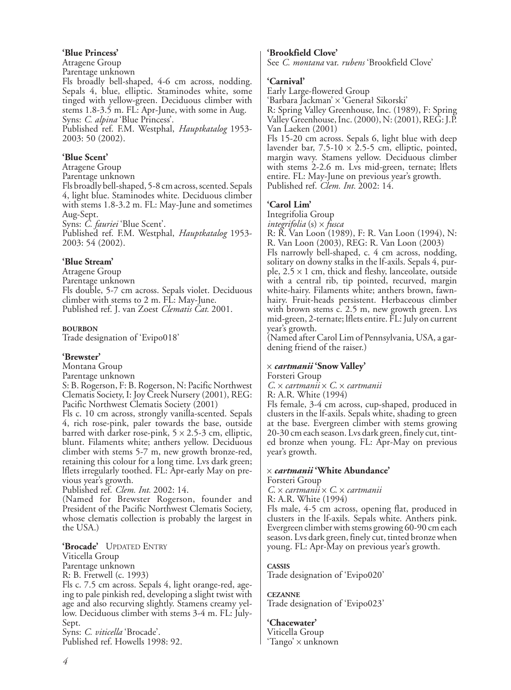#### **'Blue Princess'**

Atragene Group Parentage unknown Fls broadly bell-shaped, 4-6 cm across, nodding. Sepals 4, blue, elliptic. Staminodes white, some tinged with yellow-green. Deciduous climber with stems 1.8-3.5 m. FL: Apr-June, with some in Aug. Syns: *C. alpina* 'Blue Princess'. Published ref. F.M. Westphal, *Hauptkatalog* 1953- 2003: 50 (2002).

# **'Blue Scent'**

Atragene Group Parentage unknown Fls broadly bell-shaped, 5-8 cm across, scented. Sepals 4, light blue. Staminodes white. Deciduous climber with stems 1.8-3.2 m. FL: May-June and sometimes Aug-Sept. Syns: *C. fauriei* 'Blue Scent'.

Published ref. F.M. Westphal, *Hauptkatalog* 1953- 2003: 54 (2002).

# **'Blue Stream'**

Atragene Group Parentage unknown Fls double, 5-7 cm across. Sepals violet. Deciduous climber with stems to 2 m. FL: May-June. Published ref. J. van Zoest *Clematis Cat.* 2001.

#### **BOURBON**

Trade designation of 'Evipo018'

#### **'Brewster'**

Montana Group

Parentage unknown S: B. Rogerson, F: B. Rogerson, N: Pacific Northwest Clematis Society, I: Joy Creek Nursery (2001), REG: Pacific Northwest Clematis Society (2001)

Fls c. 10 cm across, strongly vanilla-scented. Sepals 4, rich rose-pink, paler towards the base, outside barred with darker rose-pink,  $5 \times 2.5$ -3 cm, elliptic, blunt. Filaments white; anthers yellow. Deciduous climber with stems 5-7 m, new growth bronze-red, retaining this colour for a long time. Lvs dark green; lflets irregularly toothed. FL: Apr-early May on previous year's growth.

Published ref. *Clem. Int.* 2002: 14.

(Named for Brewster Rogerson, founder and President of the Pacific Northwest Clematis Society, whose clematis collection is probably the largest in the USA.)

**'Brocade'** UPDATED ENTRY

Viticella Group

Parentage unknown

R: B. Fretwell (c. 1993)

Fls c. 7.5 cm across. Sepals 4, light orange-red, ageing to pale pinkish red, developing a slight twist with age and also recurving slightly. Stamens creamy yellow. Deciduous climber with stems 3-4 m. FL: July-Sept.

Syns: *C. viticella* 'Brocade'. Published ref. Howells 1998: 92.

# **'Brookfield Clove'**

See *C. montana* var. *rubens* 'Brookfield Clove'

### **'Carnival'**

Early Large-flowered Group 'Barbara Jackman' x 'Generał Sikorski' R: Spring Valley Greenhouse, Inc. (1989), F: Spring Valley Greenhouse, Inc. (2000), N: (2001), REG: J.P. Van Laeken (2001) Fls 15-20 cm across. Sepals 6, light blue with deep lavender bar,  $7.5{\text -}10 \times 2.5{\text -}5$  cm, elliptic, pointed, margin wavy. Stamens yellow. Deciduous climber with stems 2-2.6 m. Lvs mid-green, ternate; lflets entire. FL: May-June on previous year's growth. Published ref. *Clem. Int.* 2002: 14.

# **'Carol Lim'**

Integrifolia Group

*integrifolia* (s) x *fusca*

R: R. Van Loon (1989), F: R. Van Loon (1994), N: R. Van Loon (2003), REG: R. Van Loon (2003)

Fls narrowly bell-shaped, c. 4 cm across, nodding, solitary on downy stalks in the lf-axils. Sepals 4, purple,  $2.5 \times 1$  cm, thick and fleshy, lanceolate, outside with a central rib, tip pointed, recurved, margin white-hairy. Filaments white; anthers brown, fawnhairy. Fruit-heads persistent. Herbaceous climber with brown stems c. 2.5 m, new growth green. Lys mid-green, 2-ternate; lflets entire. FL: July on current year's growth.

(Named after Carol Lim of Pennsylvania, USA, a gardening friend of the raiser.)

# x *cartmanii* **'Snow Valley'**

Forsteri Group

*C*. x *cartmanii* x *C.* x *cartmanii*

R: A.R. White (1994)

Fls female, 3-4 cm across, cup-shaped, produced in clusters in the lf-axils. Sepals white, shading to green at the base. Evergreen climber with stems growing 20-30 cm each season. Lvs dark green, finely cut, tinted bronze when young. FL: Apr-May on previous year's growth.

#### x *cartmanii* **'White Abundance'**

Forsteri Group

*C*. x *cartmanii* x *C*. x *cartmanii*

R: A.R. White (1994)

Fls male, 4-5 cm across, opening flat, produced in clusters in the lf-axils. Sepals white. Anthers pink. Evergreen climber with stems growing 60-90 cm each season. Lvs dark green, finely cut, tinted bronze when young. FL: Apr-May on previous year's growth.

# **CASSIS**

Trade designation of 'Evipo020'

#### **CEZANNE**

Trade designation of 'Evipo023'

#### **'Chacewater'**

Viticella Group 'Tango' x unknown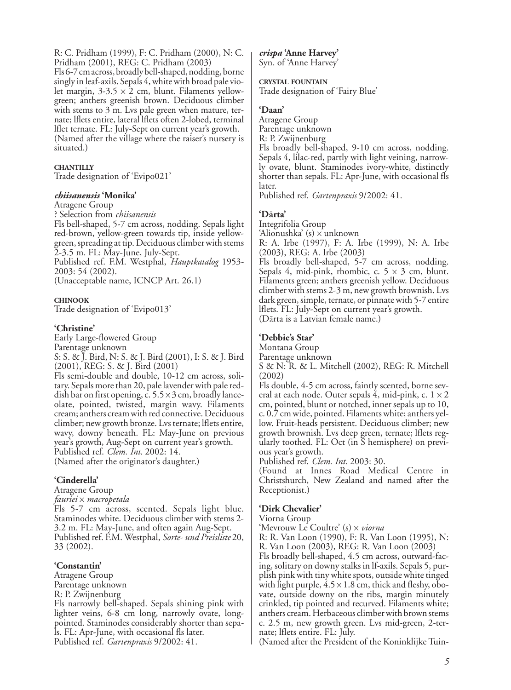R: C. Pridham (1999), F: C. Pridham (2000), N: C. Pridham (2001), REG: C. Pridham (2003)

Fls 6-7 cm across, broadly bell-shaped, nodding, borne singly in leaf-axils. Sepals 4, white with broad pale violet margin,  $3-3.5 \times 2$  cm, blunt. Filaments yellowgreen; anthers greenish brown. Deciduous climber with stems to 3 m. Lys pale green when mature, ternate; lflets entire, lateral lflets often 2-lobed, terminal lflet ternate. FL: July-Sept on current year's growth. (Named after the village where the raiser's nursery is situated.)

#### **CHANTILLY**

Trade designation of 'Evipo021'

#### *chiisanensis* **'Monika'**

Atragene Group

? Selection from *chiisanensis* Fls bell-shaped, 5-7 cm across, nodding. Sepals light red-brown, yellow-green towards tip, inside yellowgreen, spreading at tip. Deciduous climber with stems 2-3.5 m. FL: May-June, July-Sept. Published ref. F.M. Westphal, *Hauptkatalog* 1953-

2003: 54 (2002). (Unacceptable name, ICNCP Art. 26.1)

#### **CHINOOK**

Trade designation of 'Evipo013'

#### **'Christine'**

Early Large-flowered Group Parentage unknown S: S. & J. Bird, N: S. & J. Bird (2001), I: S. & J. Bird (2001), REG: S. & J. Bird (2001)

Fls semi-double and double, 10-12 cm across, solitary. Sepals more than 20, pale lavender with pale reddish bar on first opening, c.  $5.5 \times 3$  cm, broadly lanceolate, pointed, twisted, margin wavy. Filaments cream; anthers cream with red connective. Deciduous climber; new growth bronze. Lvs ternate; lflets entire, wavy, downy beneath. FL: May-June on previous year's growth, Aug-Sept on current year's growth. Published ref. *Clem. Int.* 2002: 14. (Named after the originator's daughter.)

#### **'Cinderella'**

Atragene Group

*fauriei* x *macropetala*

Fls 5-7 cm across, scented. Sepals light blue. Staminodes white. Deciduous climber with stems 2- 3.2 m. FL: May-June, and often again Aug-Sept. Published ref. F.M. Westphal, *Sorte- und Preisliste* 20, 33 (2002).

#### **'Constantin'**

Atragene Group Parentage unknown

R: P. Zwijnenburg

Fls narrowly bell-shaped. Sepals shining pink with lighter veins, 6-8 cm long, narrowly ovate, longpointed. Staminodes considerably shorter than sepals. FL: Apr-June, with occasional fls later. Published ref. *Gartenpraxis* 9/2002: 41.

*crispa* **'Anne Harvey'** Syn. of 'Anne Harvey'

#### **CRYSTAL FOUNTAIN**

Trade designation of 'Fairy Blue'

#### **'Daan'**

Atragene Group Parentage unknown R: P. Zwijnenburg Fls broadly bell-shaped, 9-10 cm across, nodding. Sepals 4, lilac-red, partly with light veining, narrowly ovate, blunt. Staminodes ivory-white, distinctly shorter than sepals. FL: Apr-June, with occasional fls later.

Published ref. *Gartenpraxis* 9/2002: 41.

#### **'Dārta'**

Integrifolia Group 'Alionushka' (s) x unknown R: A. Irbe (1997), F: A. Irbe (1999), N: A. Irbe (2003), REG: A. Irbe (2003) Fls broadly bell-shaped, 5-7 cm across, nodding. Sepals 4, mid-pink, rhombic, c.  $5 \times 3$  cm, blunt. Filaments green; anthers greenish yellow. Deciduous climber with stems 2-3 m, new growth brownish. Lvs dark green, simple, ternate, or pinnate with 5-7 entire

lflets. FL: July-Sept on current year's growth.

(Dārta is a Latvian female name.)

#### **'Debbie's Star'**

Montana Group

Parentage unknown

S & N: R. & L. Mitchell (2002), REG: R. Mitchell (2002)

Fls double, 4-5 cm across, faintly scented, borne several at each node. Outer sepals 4, mid-pink, c.  $1 \times 2$ cm, pointed, blunt or notched, inner sepals up to 10, c. 0.7 cm wide, pointed. Filaments white; anthers yellow. Fruit-heads persistent. Deciduous climber; new growth brownish. Lvs deep green, ternate; lflets regularly toothed. FL: Oct (in S hemisphere) on previous year's growth.

Published ref. *Clem. Int.* 2003: 30.

(Found at Innes Road Medical Centre in Christshurch, New Zealand and named after the Receptionist.)

#### **'Dirk Chevalier'**

Viorna Group

'Mevrouw Le Coultre' (s) x *viorna*

R: R. Van Loon (1990), F: R. Van Loon (1995), N: R. Van Loon (2003), REG: R. Van Loon (2003)

Fls broadly bell-shaped, 4.5 cm across, outward-facing, solitary on downy stalks in lf-axils. Sepals 5, purplish pink with tiny white spots, outside white tinged with light purple,  $4.5 \times 1.8$  cm, thick and fleshy, obovate, outside downy on the ribs, margin minutely crinkled, tip pointed and recurved. Filaments white; anthers cream. Herbaceous climber with brown stems c. 2.5 m, new growth green. Lvs mid-green, 2-ternate; lflets entire. FL: July.

(Named after the President of the Koninklijke Tuin-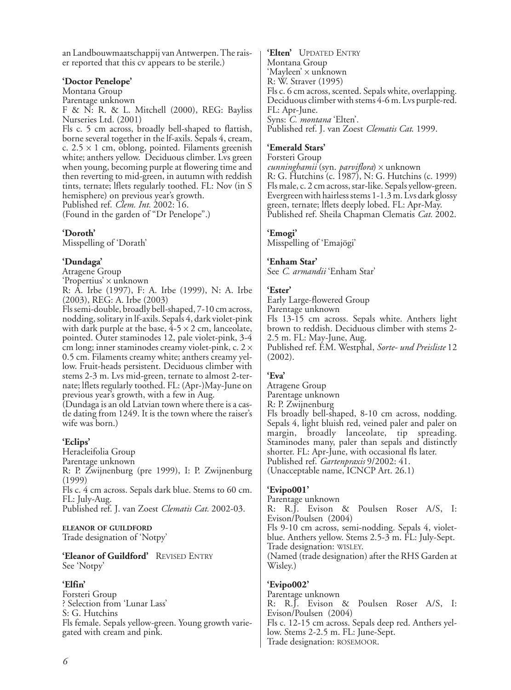an Landbouwmaatschappij van Antwerpen. The raiser reported that this cv appears to be sterile.)

#### **'Doctor Penelope'**

Montana Group Parentage unknown F & N: R. & L. Mitchell (2000), REG: Bayliss

Nurseries Ltd. (2001) Fls c. 5 cm across, broadly bell-shaped to flattish, borne several together in the lf-axils. Sepals 4, cream, c.  $2.5 \times 1$  cm, oblong, pointed. Filaments greenish white; anthers yellow. Deciduous climber. Lvs green when young, becoming purple at flowering time and then reverting to mid-green, in autumn with reddish tints, ternate; lflets regularly toothed. FL: Nov (in S hemisphere) on previous year's growth.

Published ref. *Clem. Int.* 2002: 16.

(Found in the garden of "Dr Penelope".)

### **'Doroth'**

Misspelling of 'Dorath'

### **'Dundaga'**

Atragene Group

'Propertius' x unknown

R: A. Irbe (1997), F: A. Irbe (1999), N: A. Irbe (2003), REG: A. Irbe (2003)

Fls semi-double, broadly bell-shaped, 7-10 cm across, nodding, solitary in lf-axils. Sepals 4, dark violet-pink with dark purple at the base,  $4-5 \times 2$  cm, lanceolate, pointed. Outer staminodes 12, pale violet-pink, 3-4 cm long; inner staminodes creamy violet-pink, c. 2 x 0.5 cm. Filaments creamy white; anthers creamy yellow. Fruit-heads persistent. Deciduous climber with stems 2-3 m. Lvs mid-green, ternate to almost 2-ternate; lflets regularly toothed. FL: (Apr-)May-June on previous year's growth, with a few in Aug.

(Dundaga is an old Latvian town where there is a castle dating from 1249. It is the town where the raiser's wife was born.)

# **'Eclips'**

Heracleifolia Group Parentage unknown R: P. Zwijnenburg (pre 1999), I: P. Zwijnenburg (1999) Fls c. 4 cm across. Sepals dark blue. Stems to 60 cm. FL: July-Aug. Published ref. J. van Zoest *Clematis Cat.* 2002-03.

#### **ELEANOR OF GUILDFORD**

Trade designation of 'Notpy'

**'Eleanor of Guildford'** REVISED ENTRY See 'Notpy'

#### **'Elfin'**

Forsteri Group ? Selection from 'Lunar Lass' S: G. Hutchins Fls female. Sepals yellow-green. Young growth variegated with cream and pink.

**'Elten'** UPDATED ENTRY Montana Group 'Mayleen' x unknown R: W. Straver (1995) Fls c. 6 cm across, scented. Sepals white, overlapping. Deciduous climber with stems 4-6 m. Lvs purple-red. FL: Apr-June. Syns: *C. montana* 'Elten'. Published ref. J. van Zoest *Clematis Cat*. 1999.

### **'Emerald Stars'**

Forsteri Group *cunninghamii* (syn. *parviflora*) x unknown R: G. Hutchins (c. 1987), N: G. Hutchins (c. 1999) Fls male, c. 2 cm across, star-like. Sepals yellow-green. Evergreen with hairless stems 1-1.3 m. Lvs dark glossy green, ternate; lflets deeply lobed. FL: Apr-May. Published ref. Sheila Chapman Clematis *Cat.* 2002.

### **'Emogi'**

Misspelling of 'Emajögi'

#### **'Enham Star'**

See *C. armandii* 'Enham Star'

### **'Ester'**

Early Large-flowered Group Parentage unknown Fls 13-15 cm across. Sepals white. Anthers light brown to reddish. Deciduous climber with stems 2- 2.5 m. FL: May-June, Aug. Published ref. F.M. Westphal, *Sorte- und Preisliste* 12 (2002).

# **'Eva'**

Atragene Group Parentage unknown R: P. Zwijnenburg Fls broadly bell-shaped, 8-10 cm across, nodding. Sepals 4, light bluish red, veined paler and paler on margin, broadly lanceolate, tip spreading. Staminodes many, paler than sepals and distinctly shorter. FL: Apr-June, with occasional fls later. Published ref. *Gartenpraxis* 9/2002: 41. (Unacceptable name, ICNCP Art. 26.1)

# **'Evipo001'**

Parentage unknown R: R.J. Evison & Poulsen Roser A/S, I: Evison/Poulsen (2004) Fls 9-10 cm across, semi-nodding. Sepals 4, violetblue. Anthers yellow. Stems 2.5-3 m. FL: July-Sept. Trade designation: WISLEY. (Named (trade designation) after the RHS Garden at Wisley.)

#### **'Evipo002'**

Parentage unknown R: R.J. Evison & Poulsen Roser A/S, I: Evison/Poulsen (2004) Fls c. 12-15 cm across. Sepals deep red. Anthers yellow. Stems 2-2.5 m. FL: June-Sept. Trade designation: ROSEMOOR.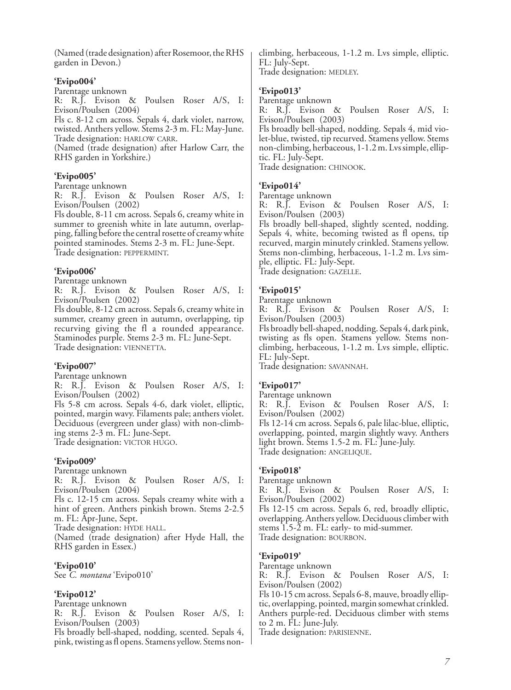(Named (trade designation) after Rosemoor, the RHS garden in Devon.)

# **'Evipo004'**

Parentage unknown

R: R.J. Evison & Poulsen Roser A/S, I: Evison/Poulsen (2004)

Fls c. 8-12 cm across. Sepals 4, dark violet, narrow, twisted. Anthers yellow. Stems 2-3 m. FL: May-June. Trade designation: HARLOW CARR.

(Named (trade designation) after Harlow Carr, the RHS garden in Yorkshire.)

# **'Evipo005'**

#### Parentage unknown

R: R.J. Evison & Poulsen Roser A/S, I: Evison/Poulsen (2002)

Fls double, 8-11 cm across. Sepals 6, creamy white in summer to greenish white in late autumn, overlapping, falling before the central rosette of creamy white pointed staminodes. Stems 2-3 m. FL: June-Sept. Trade designation: PEPPERMINT.

### **'Evipo006'**

Parentage unknown

R: R.J. Evison & Poulsen Roser A/S, I: Evison/Poulsen (2002)

Fls double, 8-12 cm across. Sepals 6, creamy white in summer, creamy green in autumn, overlapping, tip recurving giving the fl a rounded appearance. Staminodes purple. Stems 2-3 m. FL: June-Sept. Trade designation: VIENNETTA.

# **'Evipo007'**

Parentage unknown

R: R.J. Evison & Poulsen Roser A/S, I: Evison/Poulsen (2002)

Fls 5-8 cm across. Sepals 4-6, dark violet, elliptic, pointed, margin wavy. Filaments pale; anthers violet. Deciduous (evergreen under glass) with non-climbing stems 2-3 m. FL: June-Sept. Trade designation: VICTOR HUGO.

# **'Evipo009'**

Parentage unknown

R: R.J. Evison & Poulsen Roser A/S, I: Evison/Poulsen (2004)

Fls c. 12-15 cm across. Sepals creamy white with a hint of green. Anthers pinkish brown. Stems 2-2.5 m. FL: Apr-June, Sept.

Trade designation: HYDE HALL.

(Named (trade designation) after Hyde Hall, the RHS garden in Essex.)

# **'Evipo010'**

See *C. montana* 'Evipo010'

# **'Evipo012'**

Parentage unknown R: R.J. Evison & Poulsen Roser A/S, I: Evison/Poulsen (2003) Fls broadly bell-shaped, nodding, scented. Sepals 4,

pink, twisting as fl opens. Stamens yellow. Stems non-

climbing, herbaceous, 1-1.2 m. Lvs simple, elliptic. FL: July-Sept. Trade designation: MEDLEY.

# **'Evipo013'**

Parentage unknown

R: R.J. Evison & Poulsen Roser A/S, I: Evison/Poulsen (2003)

Fls broadly bell-shaped, nodding. Sepals 4, mid violet-blue, twisted, tip recurved. Stamens yellow. Stems non-climbing, herbaceous, 1-1.2 m. Lvs simple, elliptic. FL: July-Sept.

Trade designation: CHINOOK.

# **'Evipo014'**

Parentage unknown

R: R.J. Evison & Poulsen Roser A/S, I: Evison/Poulsen (2003)

Fls broadly bell-shaped, slightly scented, nodding. Sepals 4, white, becoming twisted as fl opens, tip recurved, margin minutely crinkled. Stamens yellow. Stems non-climbing, herbaceous, 1-1.2 m. Lvs simple, elliptic. FL: July-Sept. Trade designation: GAZELLE.

### **'Evipo015'**

# Parentage unknown

R: R.J. Evison & Poulsen Roser A/S, I: Evison/Poulsen (2003)

Fls broadly bell-shaped, nodding. Sepals 4, dark pink, twisting as fls open. Stamens yellow. Stems nonclimbing, herbaceous, 1-1.2 m. Lvs simple, elliptic. FL: July-Sept.

Trade designation: SAVANNAH.

# **'Evipo017'**

Parentage unknown

R: R.J. Evison & Poulsen Roser A/S, I: Evison/Poulsen (2002)

Fls 12-14 cm across. Sepals 6, pale lilac-blue, elliptic, overlapping, pointed, margin slightly wavy. Anthers light brown. Stems 1.5-2 m. FL: June-July. Trade designation: ANGELIQUE.

#### **'Evipo018'**

Parentage unknown

R: R.J. Evison & Poulsen Roser A/S, I: Evison/Poulsen (2002)

Fls 12-15 cm across. Sepals 6, red, broadly elliptic, overlapping. Anthers yellow. Deciduous climber with stems 1.5-2 m. FL: early- to mid-summer. Trade designation: BOURBON.

#### **'Evipo019'**

Parentage unknown

R: R.J. Evison & Poulsen Roser A/S, I: Evison/Poulsen (2002)

Fls 10-15 cm across. Sepals 6-8, mauve, broadly elliptic, overlapping, pointed, margin somewhat crinkled. Anthers purple-red. Deciduous climber with stems to 2 m. FL: June-July.

Trade designation: PARISIENNE.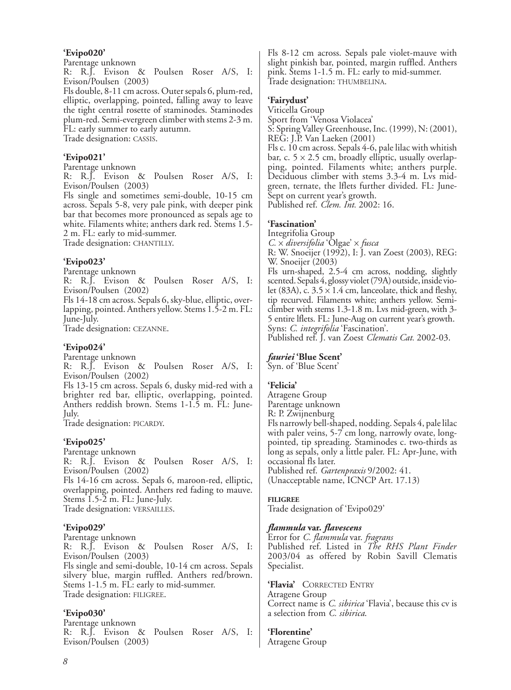#### **'Evipo020'**

Parentage unknown

R: R.J. Evison & Poulsen Roser A/S, I: Evison/Poulsen (2003)

Fls double, 8-11 cm across. Outer sepals 6, plum-red, elliptic, overlapping, pointed, falling away to leave the tight central rosette of staminodes. Staminodes plum-red. Semi-evergreen climber with stems 2-3 m. FL: early summer to early autumn.

Trade designation: CASSIS.

#### **'Evipo021'**

Parentage unknown

R: R.J. Evison & Poulsen Roser A/S, I: Evison/Poulsen (2003)

Fls single and sometimes semi-double, 10-15 cm across. Sepals 5-8, very pale pink, with deeper pink bar that becomes more pronounced as sepals age to white. Filaments white; anthers dark red. Stems 1.5- 2 m. FL: early to mid-summer.

Trade designation: CHANTILLY.

### **'Evipo023'**

Parentage unknown

R: R.J. Evison & Poulsen Roser A/S, I: Evison/Poulsen (2002)

Fls 14-18 cm across. Sepals 6, sky-blue, elliptic, overlapping, pointed. Anthers yellow. Stems 1.5-2 m. FL: June-July.

Trade designation: CEZANNE.

#### **'Evipo024'**

Parentage unknown

R: R.J. Evison & Poulsen Roser A/S, I: Evison/Poulsen (2002)

Fls 13-15 cm across. Sepals 6, dusky mid-red with a brighter red bar, elliptic, overlapping, pointed. Anthers reddish brown. Stems 1-1.5 m. FL: June-July.

Trade designation: PICARDY.

# **'Evipo025'**

Parentage unknown R: R.J. Evison & Poulsen Roser A/S, I: Evison/Poulsen (2002) Fls 14-16 cm across. Sepals 6, maroon-red, elliptic, overlapping, pointed. Anthers red fading to mauve. Stems 1.5-2 m. FL: June-July. Trade designation: VERSAILLES.

#### **'Evipo029'**

Parentage unknown R: R.J. Evison & Poulsen Roser A/S, I: Evison/Poulsen (2003) Fls single and semi-double, 10-14 cm across. Sepals silvery blue, margin ruffled. Anthers red/brown. Stems 1-1.5 m. FL: early to mid-summer. Trade designation: FILIGREE.

# **'Evipo030'**

Parentage unknown R: R.J. Evison & Poulsen Roser A/S, I: Evison/Poulsen (2003)

Fls 8-12 cm across. Sepals pale violet-mauve with slight pinkish bar, pointed, margin ruffled. Anthers pink. Stems 1-1.5 m. FL: early to mid-summer. Trade designation: THUMBELINA.

# **'Fairydust'**

Viticella Group

Sport from 'Venosa Violacea' S: Spring Valley Greenhouse, Inc. (1999), N: (2001), REG: J.P. Van Laeken (2001) Fls c. 10 cm across. Sepals 4-6, pale lilac with whitish bar, c.  $5 \times 2.5$  cm, broadly elliptic, usually overlapping, pointed. Filaments white; anthers purple. Deciduous climber with stems 3.3-4 m. Lvs midgreen, ternate, the lflets further divided. FL: June-Sept on current year's growth.

Published ref. *Clem. Int.* 2002: 16.

# **'Fascination'**

Integrifolia Group *C.* x *diversifolia* 'Olgae' x *fusca* R: W. Snoeijer (1992), I: J. van Zoest (2003), REG: W. Snoeijer (2003) Fls urn-shaped, 2.5-4 cm across, nodding, slightly scented. Sepals 4, glossy violet (79A) outside, inside violet (83A), c.  $3.5 \times 1.4$  cm, lanceolate, thick and fleshy, tip recurved. Filaments white; anthers yellow. Semiclimber with stems 1.3-1.8 m. Lvs mid-green, with 3- 5 entire lflets. FL: June-Aug on current year's growth. Syns: *C. integrifolia* 'Fascination'.

Published ref. J. van Zoest *Clematis Cat.* 2002-03.

# *fauriei* **'Blue Scent'**

Syn. of 'Blue Scent'

# **'Felicia'**

Atragene Group Parentage unknown R: P. Zwijnenburg

Fls narrowly bell-shaped, nodding. Sepals 4, pale lilac with paler veins, 5-7 cm long, narrowly ovate, longpointed, tip spreading. Staminodes c. two-thirds as long as sepals, only a little paler. FL: Apr-June, with occasional fls later. Published ref. *Gartenpraxis* 9/2002: 41.

(Unacceptable name, ICNCP Art. 17.13)

#### **FILIGREE**

Trade designation of 'Evipo029'

# *flammula* **var.** *flavescens*

Error for *C. flammula* var. *fragrans* Published ref. Listed in *The RHS Plant Finder* 2003/04 as offered by Robin Savill Clematis Specialist.

**'Flavia'** CORRECTED ENTRY Atragene Group Correct name is *C. sibirica* 'Flavia', because this cv is a selection from *C. sibirica*.

**'Florentine'** Atragene Group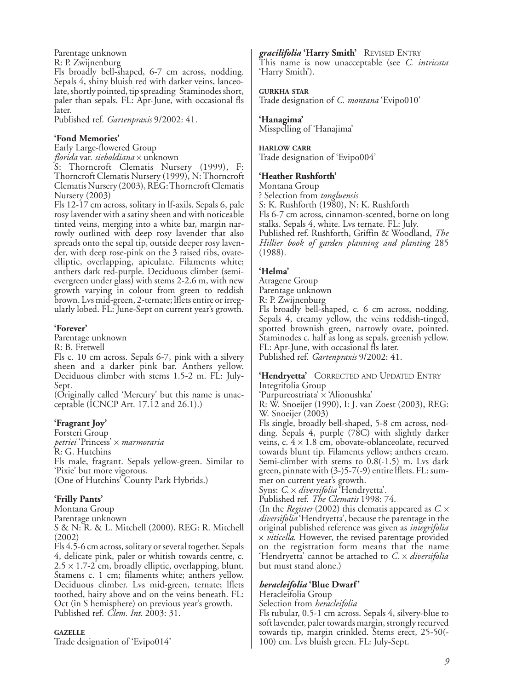Parentage unknown

R: P. Zwijnenburg

Fls broadly bell-shaped, 6-7 cm across, nodding. Sepals 4, shiny bluish red with darker veins, lanceolate, shortly pointed, tip spreading Staminodes short, paler than sepals. FL: Apr-June, with occasional fls later.

Published ref. *Gartenpraxis* 9/2002: 41.

# **'Fond Memories'**

Early Large-flowered Group

*florida* var. *sieboldiana* x unknown

S: Thorncroft Clematis Nursery (1999), F: Thorncroft Clematis Nursery (1999), N: Thorncroft Clematis Nursery (2003), REG: Thorncroft Clematis Nursery (2003)

Fls 12-17 cm across, solitary in lf-axils. Sepals 6, pale rosy lavender with a satiny sheen and with noticeable tinted veins, merging into a white bar, margin narrowly outlined with deep rosy lavender that also spreads onto the sepal tip, outside deeper rosy lavender, with deep rose-pink on the 3 raised ribs, ovateelliptic, overlapping, apiculate. Filaments white; anthers dark red-purple. Deciduous climber (semievergreen under glass) with stems 2-2.6 m, with new growth varying in colour from green to reddish brown. Lvs mid-green, 2-ternate; lflets entire or irregularly lobed. FL: June-Sept on current year's growth.

# **'Forever'**

Parentage unknown

R: B. Fretwell

Fls c. 10 cm across. Sepals 6-7, pink with a silvery sheen and a darker pink bar. Anthers yellow. Deciduous climber with stems 1.5-2 m. FL: July-Sept.

(Originally called 'Mercury' but this name is unacceptable (ICNCP Art. 17.12 and 26.1).)

# **'Fragrant Joy'**

Forsteri Group *petriei* 'Princess' x *marmoraria* R: G. Hutchins Fls male, fragrant. Sepals yellow-green. Similar to 'Pixie' but more vigorous. (One of Hutchins' County Park Hybrids.)

# **'Frilly Pants'**

Montana Group

Parentage unknown

S & N: R. & L. Mitchell (2000), REG: R. Mitchell (2002)

Fls 4.5-6 cm across, solitary or several together. Sepals 4, delicate pink, paler or whitish towards centre, c.  $2.5 \times 1.7$ -2 cm, broadly elliptic, overlapping, blunt. Stamens c. 1 cm; filaments white; anthers yellow. Deciduous climber. Lvs mid-green, ternate; lflets toothed, hairy above and on the veins beneath. FL: Oct (in S hemisphere) on previous year's growth. Published ref. *Clem. Int.* 2003: 31.

**GAZELLE**

Trade designation of 'Evipo014'

# *gracilifolia* **'Harry Smith'** REVISED ENTRY

This name is now unacceptable (see *C. intricata* 'Harry Smith').

#### **GURKHA STAR**

Trade designation of *C. montana* 'Evipo010'

### **'Hanagima'**

Misspelling of 'Hanajima'

#### **HARLOW CARR**

Trade designation of 'Evipo004'

# **'Heather Rushforth'**

Montana Group ? Selection from *tongluensis* S: K. Rushforth (1980), N: K. Rushforth Fls 6-7 cm across, cinnamon-scented, borne on long stalks. Sepals 4, white. Lvs ternate. FL: July. Published ref. Rushforth, Griffin & Woodland, *The Hillier book of garden planning and planting* 285 (1988).

# **'Helma'**

Atragene Group

Parentage unknown

R: P. Zwijnenburg

Fls broadly bell-shaped, c. 6 cm across, nodding. Sepals 4, creamy yellow, the veins reddish-tinged, spotted brownish green, narrowly ovate, pointed. Staminodes c. half as long as sepals, greenish yellow. FL: Apr-June, with occasional fls later. Published ref. *Gartenpraxis* 9/2002: 41.

**'Hendryetta'** CORRECTED AND UPDATED ENTRY Integrifolia Group

'Purpureostriata' x 'Alionushka'

R: W. Snoeijer (1990), I: J. van Zoest (2003), REG: W. Snoeijer (2003)

Fls single, broadly bell-shaped, 5-8 cm across, nodding. Sepals 4, purple (78C) with slightly darker veins, c.  $4 \times 1.8$  cm, obovate-oblanceolate, recurved towards blunt tip. Filaments yellow; anthers cream. Semi-climber with stems to 0.8(-1.5) m. Lys dark green, pinnate with (3-)5-7(-9) entire lflets. FL: summer on current year's growth.

Syns: *C.* x *diversifolia* 'Hendryetta'.

Published ref. *The Clematis* 1998: 74.

(In the *Register* (2002) this clematis appeared as *C.* x *diversifolia* 'Hendryetta', because the parentage in the original published reference was given as *integrifolia* x *viticella*. However, the revised parentage provided on the registration form means that the name 'Hendryetta' cannot be attached to *C.* x *diversifolia* but must stand alone.)

# *heracleifolia* **'Blue Dwarf'**

Heracleifolia Group

Selection from *heracleifolia*

Fls tubular, 0.5-1 cm across. Sepals 4, silvery-blue to soft lavender, paler towards margin, strongly recurved towards tip, margin crinkled. Stems erect, 25-50(- 100) cm. Lvs bluish green. FL: July-Sept.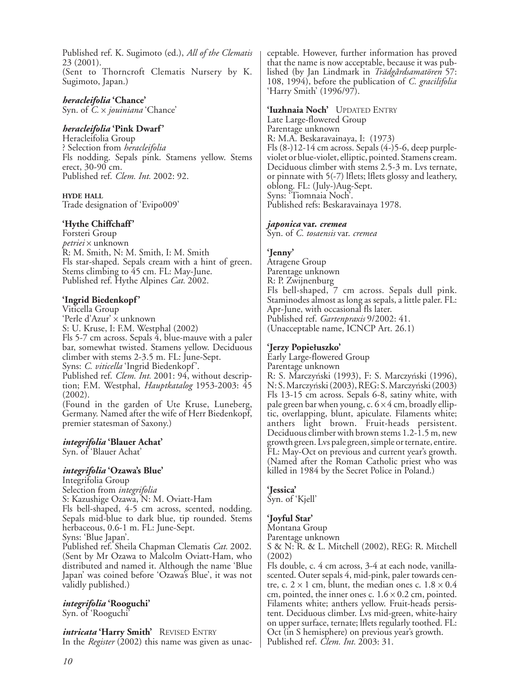Published ref. K. Sugimoto (ed.), *All of the Clematis* 23 (2001). (Sent to Thorncroft Clematis Nursery by K. Sugimoto, Japan.)

*heracleifolia* **'Chance'** Syn. of *C.* x *jouiniana* 'Chance'

# *heracleifolia* **'Pink Dwarf'**

Heracleifolia Group ? Selection from *heracleifolia* Fls nodding. Sepals pink. Stamens yellow. Stems erect, 30-90 cm. Published ref. *Clem. Int.* 2002: 92.

**HYDE HALL** Trade designation of 'Evipo009'

#### **'Hythe Chiffchaff'**

Forsteri Group *petriei* x unknown R: M. Smith, N: M. Smith, I: M. Smith Fls star-shaped. Sepals cream with a hint of green. Stems climbing to 45 cm. FL: May-June. Published ref. Hythe Alpines *Cat.* 2002.

# **'Ingrid Biedenkopf'**

Viticella Group 'Perle d'Azur' x unknown S: U. Kruse, I: F.M. Westphal (2002) Fls 5-7 cm across. Sepals 4, blue-mauve with a paler bar, somewhat twisted. Stamens yellow. Deciduous climber with stems 2-3.5 m. FL: June-Sept. Syns: *C. viticella* 'Ingrid Biedenkopf'. Published ref. *Clem. Int.* 2001: 94, without description; F.M. Westphal, *Hauptkatalog* 1953-2003: 45 (2002). (Found in the garden of Ute Kruse, Luneberg, Germany. Named after the wife of Herr Biedenkopf, premier statesman of Saxony.)

#### *integrifolia* **'Blauer Achat'**

Syn. of 'Blauer Achat'

# *integrifolia* **'Ozawa's Blue'**

Integrifolia Group Selection from *integrifolia* S: Kazushige Ozawa, N: M. Oviatt-Ham Fls bell-shaped, 4-5 cm across, scented, nodding. Sepals mid-blue to dark blue, tip rounded. Stems herbaceous, 0.6-1 m. FL: June-Sept. Syns: 'Blue Japan'. Published ref. Sheila Chapman Clematis *Cat.* 2002.

(Sent by Mr Ozawa to Malcolm Oviatt-Ham, who distributed and named it. Although the name 'Blue Japan' was coined before 'Ozawa's Blue', it was not validly published.)

*integrifolia* **'Rooguchi'** Syn. of 'Rooguchi'

*intricata* **'Harry Smith'** REVISED ENTRY

In the *Register* (2002) this name was given as unac-

ceptable. However, further information has proved that the name is now acceptable, because it was published (by Jan Lindmark in *Trädgårdsamatören* 57: 108, 1994), before the publication of *C. gracilifolia* 'Harry Smith' (1996/97).

#### **'Iuzhnaia Noch'** UPDATED ENTRY

Late Large-flowered Group Parentage unknown R: M.A. Beskaravainaya, I: (1973) Fls (8-)12-14 cm across. Sepals (4-)5-6, deep purpleviolet or blue-violet, elliptic, pointed. Stamens cream. Deciduous climber with stems 2.5-3 m. Lvs ternate, or pinnate with 5(-7) lflets; lflets glossy and leathery, oblong. FL: (July-)Aug-Sept. Syns: 'Tiomnaia Noch'. Published refs: Beskaravainaya 1978.

#### *japonica* **var.** *cremea*

Syn. of *C. tosaensis* var. *cremea*

### **'Jenny'**

Atragene Group Parentage unknown R: P. Zwijnenburg Fls bell-shaped, 7 cm across. Sepals dull pink. Staminodes almost as long as sepals, a little paler. FL: Apr-June, with occasional fls later. Published ref. *Gartenpraxis* 9/2002: 41. (Unacceptable name, ICNCP Art. 26.1)

#### **'Jerzy Popiełuszko'**

Early Large-flowered Group Parentage unknown R: S. Marczyński (1993), F: S. Marczyński (1996), N: S. Marczyński (2003), REG: S. Marczyński (2003) Fls 13-15 cm across. Sepals 6-8, satiny white, with pale green bar when young, c.  $6 \times 4$  cm, broadly elliptic, overlapping, blunt, apiculate. Filaments white; anthers light brown. Fruit-heads persistent. Deciduous climber with brown stems 1.2-1.5 m, new growth green. Lvs pale green, simple or ternate, entire. FL: May-Oct on previous and current year's growth. (Named after the Roman Catholic priest who was killed in 1984 by the Secret Police in Poland.)

# **'Jessica'**

Syn. of 'Kjell'

# **'Joyful Star'**

Montana Group

Parentage unknown

S & N: R. & L. Mitchell (2002), REG: R. Mitchell (2002)

Fls double, c. 4 cm across, 3-4 at each node, vanillascented. Outer sepals 4, mid-pink, paler towards centre, c.  $2 \times 1$  cm, blunt, the median ones c.  $1.8 \times 0.4$ cm, pointed, the inner ones c.  $1.6 \times 0.2$  cm, pointed. Filaments white; anthers yellow. Fruit-heads persistent. Deciduous climber. Lvs mid-green, white-hairy on upper surface, ternate; lflets regularly toothed. FL: Oct (in S hemisphere) on previous year's growth. Published ref. *Clem. Int.* 2003: 31.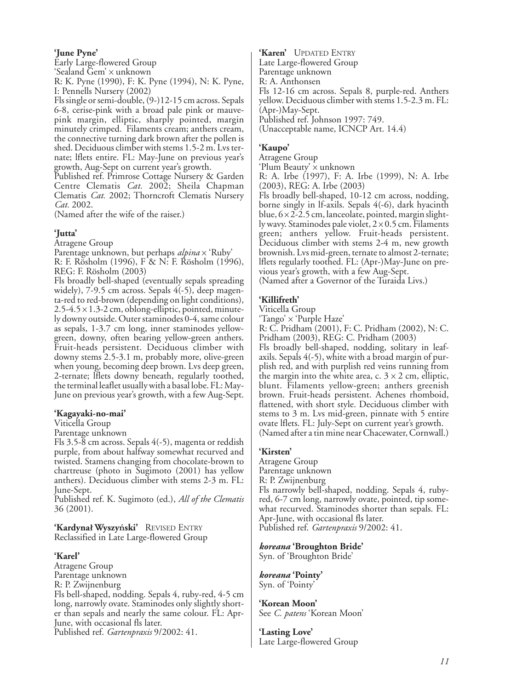#### **'June Pyne'**

Early Large-flowered Group 'Sealand Gem' x unknown

R: K. Pyne (1990), F: K. Pyne (1994), N: K. Pyne, I: Pennells Nursery (2002)

Fls single or semi-double, (9-)12-15 cm across. Sepals 6-8, cerise-pink with a broad pale pink or mauvepink margin, elliptic, sharply pointed, margin minutely crimped. Filaments cream; anthers cream, the connective turning dark brown after the pollen is shed. Deciduous climber with stems 1.5-2 m. Lvs ternate; lflets entire. FL: May-June on previous year's growth, Aug-Sept on current year's growth.

Published ref. Primrose Cottage Nursery & Garden Centre Clematis *Cat.* 2002; Sheila Chapman Clematis *Cat.* 2002; Thorncroft Clematis Nursery *Cat.* 2002.

(Named after the wife of the raiser.)

### **'Jutta'**

Atragene Group

Parentage unknown, but perhaps *alpina* x 'Ruby'

R: F. Rösholm (1996), F & N: F. Rösholm (1996), REG: F. Rösholm (2003)

Fls broadly bell-shaped (eventually sepals spreading widely), 7-9.5 cm across. Sepals 4(-5), deep magenta-red to red-brown (depending on light conditions),  $2.5-4.5 \times 1.3-2$  cm, oblong-elliptic, pointed, minutely downy outside. Outer staminodes 0-4, same colour as sepals, 1-3.7 cm long, inner staminodes yellowgreen, downy, often bearing yellow-green anthers. Fruit-heads persistent. Deciduous climber with downy stems 2.5-3.1 m, probably more, olive-green when young, becoming deep brown. Lvs deep green, 2-ternate; lflets downy beneath, regularly toothed, the terminal leaflet usually with a basal lobe. FL: May-June on previous year's growth, with a few Aug-Sept.

# **'Kagayaki-no-mai'**

Viticella Group

Parentage unknown

Fls 3.5-8 cm across. Sepals 4(-5), magenta or reddish purple, from about halfway somewhat recurved and twisted. Stamens changing from chocolate-brown to chartreuse (photo in Sugimoto (2001) has yellow anthers). Deciduous climber with stems 2-3 m. FL: June-Sept.

Published ref. K. Sugimoto (ed.), *All of the Clematis* 36 (2001).

**'Kardynał Wyszyński'** REVISED ENTRY Reclassified in Late Large-flowered Group

# **'Karel'**

Atragene Group Parentage unknown R: P. Zwijnenburg Fls bell-shaped, nodding. Sepals 4, ruby-red, 4-5 cm long, narrowly ovate. Staminodes only slightly shorter than sepals and nearly the same colour. FL: Apr-June, with occasional fls later. Published ref. *Gartenpraxis* 9/2002: 41.

**'Karen'** UPDATED ENTRY Late Large-flowered Group Parentage unknown R: A. Anthonsen Fls 12-16 cm across. Sepals 8, purple-red. Anthers yellow. Deciduous climber with stems 1.5-2.3 m. FL: (Apr-)May-Sept. Published ref. Johnson 1997: 749. (Unacceptable name, ICNCP Art. 14.4)

# **'Kaupo'**

Atragene Group

'Plum Beauty' x unknown

R: A. Irbe (1997), F: A. Irbe (1999), N: A. Irbe (2003), REG: A. Irbe (2003)

Fls broadly bell-shaped, 10-12 cm across, nodding, borne singly in lf-axils. Sepals 4(-6), dark hyacinth blue,  $6 \times 2$ -2.5 cm, lanceolate, pointed, margin slightly wavy. Staminodes pale violet,  $2 \times 0.5$  cm. Filaments green; anthers yellow. Fruit-heads persistent. Deciduous climber with stems 2-4 m, new growth brownish. Lvs mid-green, ternate to almost 2-ternate; lflets regularly toothed. FL: (Apr-)May-June on previous year's growth, with a few Aug-Sept. (Named after a Governor of the Turaida Livs.)

### **'Killifreth'**

Viticella Group

'Tango' x 'Purple Haze'

R: C. Pridham (2001), F: C. Pridham (2002), N: C. Pridham (2003), REG: C. Pridham (2003)

Fls broadly bell-shaped, nodding, solitary in leafaxils. Sepals 4(-5), white with a broad margin of purplish red, and with purplish red veins running from the margin into the white area, c.  $3 \times 2$  cm, elliptic, blunt. Filaments yellow-green; anthers greenish brown. Fruit-heads persistent. Achenes rhomboid, flattened, with short style. Deciduous climber with stems to 3 m. Lvs mid-green, pinnate with 5 entire ovate lflets. FL: July-Sept on current year's growth. (Named after a tin mine near Chacewater, Cornwall.)

# **'Kirsten'**

Atragene Group Parentage unknown R: P. Zwijnenburg Fls narrowly bell-shaped, nodding. Sepals 4, rubyred, 6-7 cm long, narrowly ovate, pointed, tip somewhat recurved. Staminodes shorter than sepals. FL: Apr-June, with occasional fls later.

Published ref. *Gartenpraxis* 9/2002: 41.

*koreana* **'Broughton Bride'**

Syn. of 'Broughton Bride'

*koreana* **'Pointy'** Syn. of 'Pointy'

**'Korean Moon'** See *C. patens* 'Korean Moon'

**'Lasting Love'** Late Large-flowered Group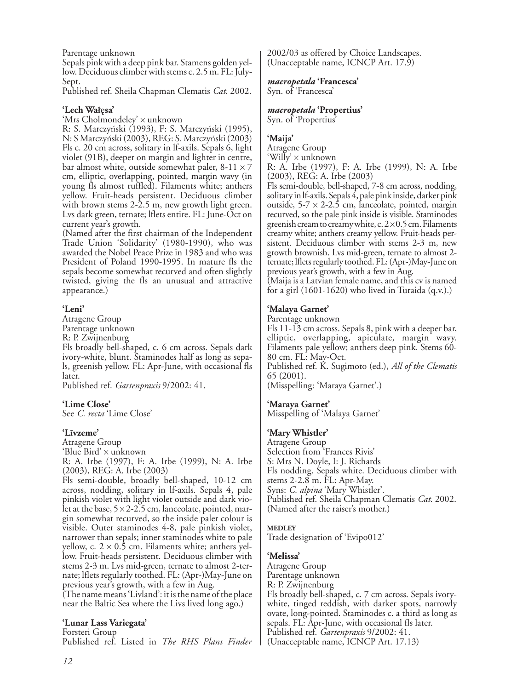Parentage unknown

Sepals pink with a deep pink bar. Stamens golden yellow. Deciduous climber with stems c. 2.5 m. FL: July-Sept.

Published ref. Sheila Chapman Clematis *Cat.* 2002.

# **'Lech Wałęsa'**

'Mrs Cholmondeley' x unknown

R: S. Marczyński (1993), F: S. Marczyński (1995), N: S Marczyński (2003), REG: S. Marczyński (2003) Fls c. 20 cm across, solitary in lf-axils. Sepals 6, light violet (91B), deeper on margin and lighter in centre, bar almost white, outside somewhat paler,  $8-11 \times 7$ cm, elliptic, overlapping, pointed, margin wavy (in young fls almost ruffled). Filaments white; anthers yellow. Fruit-heads persistent. Deciduous climber with brown stems 2-2.5 m, new growth light green. Lvs dark green, ternate; lflets entire. FL: June-Oct on current year's growth.

(Named after the first chairman of the Independent Trade Union 'Solidarity' (1980-1990), who was awarded the Nobel Peace Prize in 1983 and who was President of Poland 1990-1995. In mature fls the sepals become somewhat recurved and often slightly twisted, giving the fls an unusual and attractive appearance.)

# **'Leni'**

Atragene Group Parentage unknown R: P. Zwijnenburg

Fls broadly bell-shaped, c. 6 cm across. Sepals dark ivory-white, blunt. Staminodes half as long as sepals, greenish yellow. FL: Apr-June, with occasional fls later.

Published ref. *Gartenpraxis* 9/2002: 41.

# **'Lime Close'**

See *C. recta* 'Lime Close'

#### **'Līvzeme'**

Atragene Group

'Blue Bird' x unknown

R: A. Irbe (1997), F: A. Irbe (1999), N: A. Irbe (2003), REG: A. Irbe (2003)

Fls semi-double, broadly bell-shaped, 10-12 cm across, nodding, solitary in lf-axils. Sepals 4, pale pinkish violet with light violet outside and dark violet at the base,  $5 \times 2$ -2.5 cm, lanceolate, pointed, margin somewhat recurved, so the inside paler colour is visible. Outer staminodes 4-8, pale pinkish violet, narrower than sepals; inner staminodes white to pale yellow, c.  $2 \times 0.5$  cm. Filaments white; anthers yellow. Fruit-heads persistent. Deciduous climber with stems 2-3 m. Lvs mid-green, ternate to almost 2-ternate; lflets regularly toothed. FL: (Apr-)May-June on previous year's growth, with a few in Aug.

(The name means 'Livland': it is the name of the place near the Baltic Sea where the Livs lived long ago.)

# **'Lunar Lass Variegata'**

Forsteri Group

Published ref. Listed in *The RHS Plant Finder*

2002/03 as offered by Choice Landscapes. (Unacceptable name, ICNCP Art. 17.9)

#### *macropetala* **'Francesca'**

Syn. of 'Francesca'

### *macropetala* **'Propertius'**

Syn. of 'Propertius'

# **'Maija'**

Atragene Group 'Willy' x unknown

R: A. Irbe (1997), F: A. Irbe (1999), N: A. Irbe (2003), REG: A. Irbe (2003)

Fls semi-double, bell-shaped, 7-8 cm across, nodding, solitary in lf-axils. Sepals 4, pale pink inside, darker pink outside,  $5-7 \times 2-2.5$  cm, lanceolate, pointed, margin recurved, so the pale pink inside is visible. Staminodes greenish cream to creamy white, c.  $2 \times 0.5$  cm. Filaments creamy white; anthers creamy yellow. Fruit-heads persistent. Deciduous climber with stems 2-3 m, new growth brownish. Lvs mid-green, ternate to almost 2 ternate; lflets regularly toothed. FL: (Apr-)May-June on previous year's growth, with a few in Aug.

(Maija is a Latvian female name, and this cv is named for a girl (1601-1620) who lived in Turaida (q.v.).)

# **'Malaya Garnet'**

Parentage unknown

Fls 11-13 cm across. Sepals 8, pink with a deeper bar, elliptic, overlapping, apiculate, margin wavy. Filaments pale yellow; anthers deep pink. Stems 60- 80 cm. FL: May-Oct. Published ref. K. Sugimoto (ed.), *All of the Clematis* 65 (2001).

(Misspelling: 'Maraya Garnet'.)

#### **'Maraya Garnet'**

Misspelling of 'Malaya Garnet'

#### **'Mary Whistler'**

Atragene Group Selection from 'Frances Rivis' S: Mrs N. Doyle, I: J. Richards Fls nodding. Sepals white. Deciduous climber with stems 2-2.8 m. FL: Apr-May. Syns: *C. alpina* 'Mary Whistler'. Published ref. Sheila Chapman Clematis *Cat.* 2002. (Named after the raiser's mother.)

#### **MEDLEY**

Trade designation of 'Evipo012'

#### **'Melissa'**

Atragene Group Parentage unknown R: P. Zwijnenburg Fls broadly bell-shaped, c. 7 cm across. Sepals ivorywhite, tinged reddish, with darker spots, narrowly ovate, long-pointed. Staminodes c. a third as long as sepals. FL: Apr-June, with occasional fls later. Published ref. *Gartenpraxis* 9/2002: 41. (Unacceptable name, ICNCP Art. 17.13)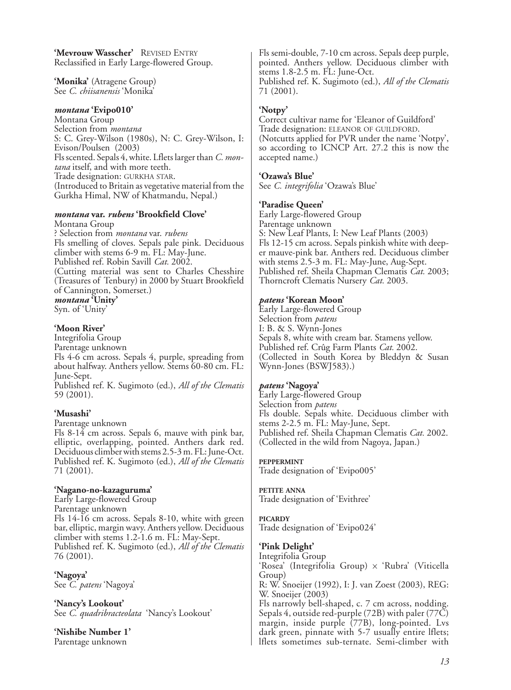**'Mevrouw Wasscher'** REVISED ENTRY Reclassified in Early Large-flowered Group.

**'Monika'** (Atragene Group) See *C. chiisanensis* 'Monika'

#### *montana* **'Evipo010'**

Montana Group Selection from *montana* S: C. Grey-Wilson (1980s), N: C. Grey-Wilson, I: Evison/Poulsen (2003) Fls scented. Sepals 4, white. Lflets larger than *C. montana* itself, and with more teeth. Trade designation: GURKHA STAR. (Introduced to Britain as vegetative material from the Gurkha Himal, NW of Khatmandu, Nepal.)

#### *montana* **var.** *rubens* **'Brookfield Clove'**

Montana Group ? Selection from *montana* var. *rubens* Fls smelling of cloves. Sepals pale pink. Deciduous climber with stems 6-9 m. FL: May-June. Published ref. Robin Savill *Cat.* 2002. (Cutting material was sent to Charles Chesshire (Treasures of Tenbury) in 2000 by Stuart Brookfield of Cannington, Somerset.) *montana* **'Unity'** Syn. of 'Unity'

# **'Moon River'**

Integrifolia Group Parentage unknown Fls 4-6 cm across. Sepals 4, purple, spreading from about halfway. Anthers yellow. Stems 60-80 cm. FL: June-Sept.

Published ref. K. Sugimoto (ed.), *All of the Clematis* 59 (2001).

#### **'Musashi'**

Parentage unknown

Fls 8-14 cm across. Sepals 6, mauve with pink bar, elliptic, overlapping, pointed. Anthers dark red. Deciduous climber with stems 2.5-3 m. FL: June-Oct. Published ref. K. Sugimoto (ed.), *All of the Clematis* 71 (2001).

# **'Nagano-no-kazaguruma'**

Early Large-flowered Group Parentage unknown Fls 14-16 cm across. Sepals 8-10, white with green bar, elliptic, margin wavy. Anthers yellow. Deciduous climber with stems 1.2-1.6 m. FL: May-Sept. Published ref. K. Sugimoto (ed.), *All of the Clematis* 76 (2001).

**'Nagoya'** See *C. patens* 'Nagoya'

**'Nancy's Lookout'** See *C. quadribracteolata* 'Nancy's Lookout'

**'Nishibe Number 1'** Parentage unknown

Fls semi-double, 7-10 cm across. Sepals deep purple, pointed. Anthers yellow. Deciduous climber with stems 1.8-2.5 m. FL: June-Oct. Published ref. K. Sugimoto (ed.), *All of the Clematis* 71 (2001).

# **'Notpy'**

Correct cultivar name for 'Eleanor of Guildford' Trade designation: ELEANOR OF GUILDFORD. (Notcutts applied for PVR under the name 'Notpy', so according to ICNCP Art. 27.2 this is now the accepted name.)

#### **'Ozawa's Blue'**

See *C. integrifolia* 'Ozawa's Blue'

#### **'Paradise Queen'**

Early Large-flowered Group Parentage unknown S: New Leaf Plants, I: New Leaf Plants (2003) Fls 12-15 cm across. Sepals pinkish white with deeper mauve-pink bar. Anthers red. Deciduous climber with stems 2.5-3 m. FL: May-June, Aug-Sept. Published ref. Sheila Chapman Clematis *Cat.* 2003; Thorncroft Clematis Nursery *Cat.* 2003.

### *patens* **'Korean Moon'**

Early Large-flowered Group Selection from *patens* I: B. & S. Wynn-Jones Sepals 8, white with cream bar. Stamens yellow. Published ref. Crûg Farm Plants *Cat.* 2002. (Collected in South Korea by Bleddyn & Susan Wynn-Jones (BSWJ583).)

#### *patens* **'Nagoya'**

Early Large-flowered Group Selection from *patens* Fls double. Sepals white. Deciduous climber with stems 2-2.5 m. FL: May-June, Sept. Published ref. Sheila Chapman Clematis *Cat.* 2002. (Collected in the wild from Nagoya, Japan.)

# **PEPPERMINT**

Trade designation of 'Evipo005'

**PETITE ANNA** Trade designation of 'Evithree'

# **PICARDY**

Trade designation of 'Evipo024'

# **'Pink Delight'**

Integrifolia Group 'Rosea' (Integrifolia Group) x 'Rubra' (Viticella Group) R: W. Snoeijer (1992), I: J. van Zoest (2003), REG: W. Snoeijer (2003) Fls narrowly bell-shaped, c. 7 cm across, nodding. Sepals 4, outside red-purple (72B) with paler (77C) margin, inside purple (77B), long-pointed. Lvs dark green, pinnate with 5-7 usually entire lflets; lflets sometimes sub-ternate. Semi-climber with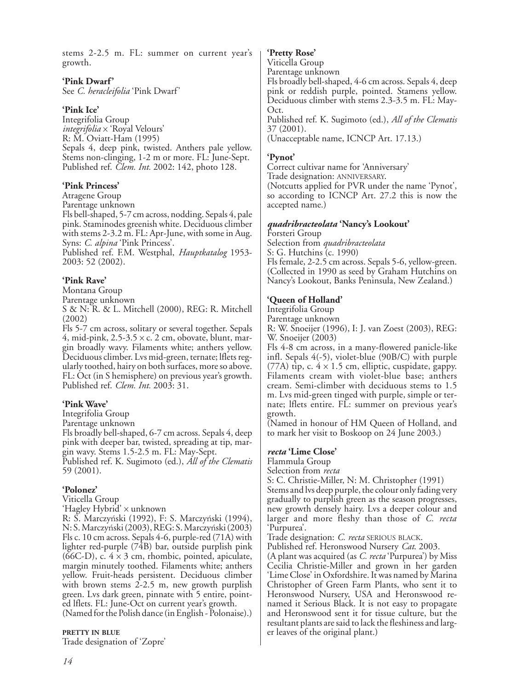stems 2-2.5 m. FL: summer on current year's growth.

### **'Pink Dwarf'**

See *C. heracleifolia* 'Pink Dwarf'

### **'Pink Ice'**

Integrifolia Group *integrifolia* x 'Royal Velours' R: M. Oviatt-Ham (1995) Sepals 4, deep pink, twisted. Anthers pale yellow. Stems non-clinging, 1-2 m or more. FL: June-Sept. Published ref. *Clem. Int.* 2002: 142, photo 128.

### **'Pink Princess'**

Atragene Group

Parentage unknown

Fls bell-shaped, 5-7 cm across, nodding. Sepals 4, pale pink. Staminodes greenish white. Deciduous climber with stems 2-3.2 m. FL: Apr-June, with some in Aug. Syns: *C. alpina* 'Pink Princess'.

Published ref. F.M. Westphal, *Hauptkatalog* 1953- 2003: 52 (2002).

### **'Pink Rave'**

Montana Group

Parentage unknown

S & N: R. & L. Mitchell (2000), REG: R. Mitchell (2002)

Fls 5-7 cm across, solitary or several together. Sepals 4, mid-pink,  $2.5-3.5 \times c$ . 2 cm, obovate, blunt, margin broadly wavy. Filaments white; anthers yellow. Deciduous climber. Lvs mid-green, ternate; lflets regularly toothed, hairy on both surfaces, more so above. FL: Oct (in S hemisphere) on previous year's growth. Published ref. *Clem. Int.* 2003: 31.

# **'Pink Wave'**

Integrifolia Group

Parentage unknown

Fls broadly bell-shaped, 6-7 cm across. Sepals 4, deep pink with deeper bar, twisted, spreading at tip, margin wavy. Stems 1.5-2.5 m. FL: May-Sept.

Published ref. K. Sugimoto (ed.), *All of the Clematis* 59 (2001).

# **'Polonez'**

Viticella Group

'Hagley Hybrid' x unknown

R: S. Marczyński (1992), F: S. Marczyński (1994), N: S. Marczyński (2003), REG: S. Marczyński (2003) Fls c. 10 cm across. Sepals 4-6, purple-red (71A) with lighter red-purple (74B) bar, outside purplish pink (66C-D), c.  $4 \times 3$  cm, rhombic, pointed, apiculate, margin minutely toothed. Filaments white; anthers yellow. Fruit-heads persistent. Deciduous climber with brown stems 2-2.5 m, new growth purplish green. Lvs dark green, pinnate with 5 entire, pointed lflets. FL: June-Oct on current year's growth.

(Named for the Polish dance (in English - Polonaise).)

#### **PRETTY IN BLUE**

Trade designation of 'Zopre'

### **'Pretty Rose'**

Viticella Group

Parentage unknown

Fls broadly bell-shaped, 4-6 cm across. Sepals 4, deep pink or reddish purple, pointed. Stamens yellow. Deciduous climber with stems 2.3-3.5 m. FL: May-Oct.

Published ref. K. Sugimoto (ed.), *All of the Clematis* 37 (2001).

(Unacceptable name, ICNCP Art. 17.13.)

# **'Pynot'**

Correct cultivar name for 'Anniversary' Trade designation: ANNIVERSARY. (Notcutts applied for PVR under the name 'Pynot', so according to ICNCP Art. 27.2 this is now the accepted name.)

### *quadribracteolata* **'Nancy's Lookout'**

Forsteri Group Selection from *quadribracteolata* S: G. Hutchins (c. 1990) Fls female, 2-2.5 cm across. Sepals 5-6, yellow-green. (Collected in 1990 as seed by Graham Hutchins on Nancy's Lookout, Banks Peninsula, New Zealand.)

# **'Queen of Holland'**

Integrifolia Group

Parentage unknown

R: W. Snoeijer (1996), I: J. van Zoest (2003), REG: W. Snoeijer (2003)

Fls 4-8 cm across, in a many-flowered panicle-like infl. Sepals 4(-5), violet-blue (90B/C) with purple (77A) tip, c.  $4 \times 1.5$  cm, elliptic, cuspidate, gappy. Filaments cream with violet-blue base; anthers cream. Semi-climber with deciduous stems to 1.5 m. Lvs mid-green tinged with purple, simple or ternate; lflets entire. FL: summer on previous year's growth.

(Named in honour of HM Queen of Holland, and to mark her visit to Boskoop on 24 June 2003.)

# *recta* **'Lime Close'**

Flammula Group

Selection from *recta*

S: C. Christie-Miller, N: M. Christopher (1991) Stems and lvs deep purple, the colour only fading very gradually to purplish green as the season progresses, new growth densely hairy. Lvs a deeper colour and larger and more fleshy than those of *C. recta* 'Purpurea'.

Trade designation: *C. recta* SERIOUS BLACK.

Published ref. Heronswood Nursery *Cat*. 2003.

(A plant was acquired (as *C. recta* 'Purpurea') by Miss Cecilia Christie-Miller and grown in her garden 'Lime Close' in Oxfordshire. It was named by Marina Christopher of Green Farm Plants, who sent it to Heronswood Nursery, USA and Heronswood renamed it Serious Black. It is not easy to propagate and Heronswood sent it for tissue culture, but the resultant plants are said to lack the fleshiness and larger leaves of the original plant.)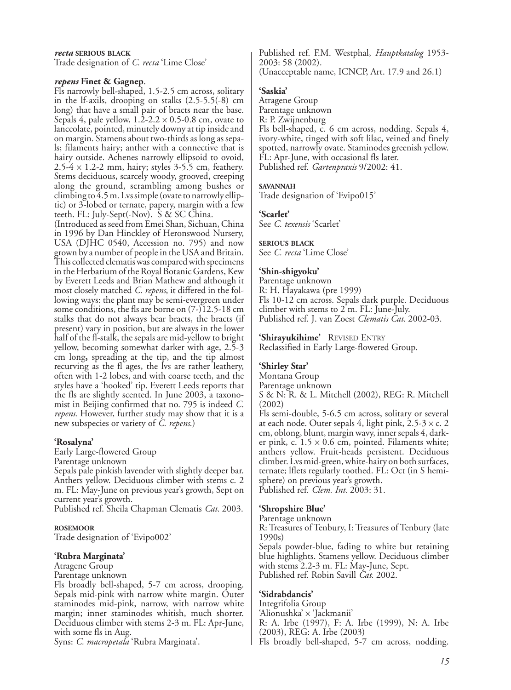#### *recta* **SERIOUS BLACK**

Trade designation of *C. recta* 'Lime Close'

#### *repens* **Finet & Gagnep**.

Fls narrowly bell-shaped, 1.5-2.5 cm across, solitary in the lf-axils, drooping on stalks (2.5-5.5(-8) cm long) that have a small pair of bracts near the base. Sepals 4, pale yellow,  $1.\overline{2}$ -2.2  $\times$  0.5-0.8 cm, ovate to lanceolate, pointed, minutely downy at tip inside and on margin. Stamens about two-thirds as long as sepals; filaments hairy; anther with a connective that is hairy outside. Achenes narrowly ellipsoid to ovoid,  $2.5-4 \times 1.2-2$  mm, hairy; styles 3-5.5 cm, feathery. Stems deciduous, scarcely woody, grooved, creeping along the ground, scrambling among bushes or climbing to 4.5 m. Lvs simple (ovate to narrowly elliptic) or 3-lobed or ternate, papery, margin with a few teeth. FL: July-Sept(-Nov). S & SC China. (Introduced as seed from Emei Shan, Sichuan, China

in 1996 by Dan Hinckley of Heronswood Nursery, USA (DJHC 0540, Accession no. 795) and now grown by a number of people in the USA and Britain. This collected clematis was compared with specimens in the Herbarium of the Royal Botanic Gardens, Kew by Everett Leeds and Brian Mathew and although it most closely matched *C. repens*, it differed in the following ways: the plant may be semi-evergreen under some conditions, the fls are borne on (7-)12.5-18 cm stalks that do not always bear bracts, the bracts (if present) vary in position, but are always in the lower half of the fl-stalk, the sepals are mid-yellow to bright yellow, becoming somewhat darker with age, 2.5-3 cm long**,** spreading at the tip, and the tip almost recurving as the fl ages, the lvs are rather leathery, often with 1-2 lobes, and with coarse teeth, and the styles have a 'hooked' tip. Everett Leeds reports that the fls are slightly scented. In June 2003, a taxonomist in Beijing confirmed that no. 795 is indeed *C. repens*. However, further study may show that it is a new subspecies or variety of *C. repens*.)

# **'Rosalyna'**

Early Large-flowered Group Parentage unknown Sepals pale pinkish lavender with slightly deeper bar. Anthers yellow. Deciduous climber with stems c. 2 m. FL: May-June on previous year's growth, Sept on current year's growth.

Published ref. Sheila Chapman Clematis *Cat.* 2003.

#### **ROSEMOOR**

Trade designation of 'Evipo002'

#### **'Rubra Marginata'**

Atragene Group Parentage unknown

Fls broadly bell-shaped, 5-7 cm across, drooping. Sepals mid-pink with narrow white margin. Outer staminodes mid-pink, narrow, with narrow white margin; inner staminodes whitish, much shorter. Deciduous climber with stems 2-3 m. FL: Apr-June, with some fls in Aug.

Syns: *C. macropetala* 'Rubra Marginata'.

Published ref. F.M. Westphal, *Hauptkatalog* 1953- 2003: 58 (2002). (Unacceptable name, ICNCP, Art. 17.9 and 26.1)

# **'Saskia'**

Atragene Group Parentage unknown R: P. Zwijnenburg Fls bell-shaped, c. 6 cm across, nodding. Sepals 4, ivory-white, tinged with soft lilac, veined and finely spotted, narrowly ovate. Staminodes greenish yellow. FL: Apr-June, with occasional fls later. Published ref. *Gartenpraxis* 9/2002: 41.

#### **SAVANNAH**

Trade designation of 'Evipo015'

#### **'Scarlet'**

See *C. texensis* 'Scarlet'

# **SERIOUS BLACK**

See *C. recta* 'Lime Close'

### **'Shin-shigyoku'**

Parentage unknown R: H. Hayakawa (pre 1999) Fls 10-12 cm across. Sepals dark purple. Deciduous climber with stems to 2 m. FL: June-July. Published ref. J. van Zoest *Clematis Cat.* 2002-03.

**'Shirayukihime'** REVISED ENTRY Reclassified in Early Large-flowered Group.

# **'Shirley Star'**

Montana Group Parentage unknown S & N: R. & L. Mitchell (2002), REG: R. Mitchell (2002)

Fls semi-double, 5-6.5 cm across, solitary or several at each node. Outer sepals 4, light pink,  $2.5-3 \times c$ . 2 cm, oblong, blunt, margin wavy, inner sepals 4, darker pink, c.  $1.5 \times 0.6$  cm, pointed. Filaments white; anthers yellow. Fruit-heads persistent. Deciduous climber. Lvs mid-green, white-hairy on both surfaces, ternate; lflets regularly toothed. FL: Oct (in S hemisphere) on previous year's growth. Published ref. *Clem. Int.* 2003: 31.

# **'Shropshire Blue'**

Parentage unknown

R: Treasures of Tenbury, I: Treasures of Tenbury (late 1990s)

Sepals powder-blue, fading to white but retaining blue highlights. Stamens yellow. Deciduous climber with stems 2.2-3 m. FL: May-June, Sept. Published ref. Robin Savill *Cat.* 2002.

# **'Sidrabdancis'**

Integrifolia Group 'Alionushka' x 'Jackmanii' R: A. Irbe (1997), F: A. Irbe (1999), N: A. Irbe (2003), REG: A. Irbe (2003) Fls broadly bell-shaped, 5-7 cm across, nodding.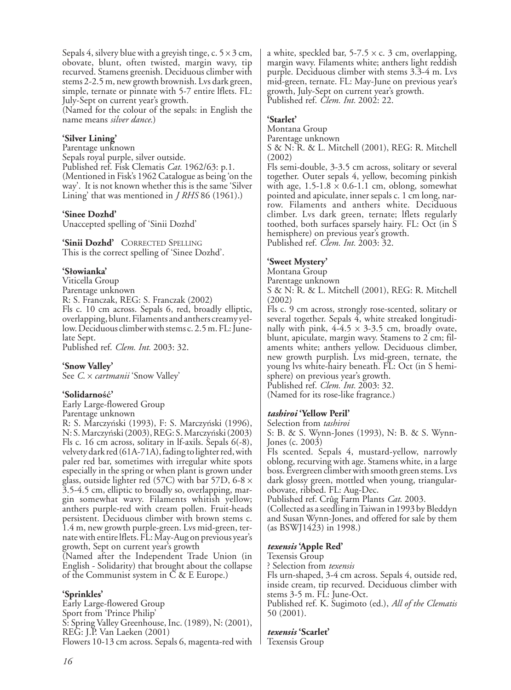Sepals 4, silvery blue with a greyish tinge, c.  $5 \times 3$  cm, obovate, blunt, often twisted, margin wavy, tip recurved. Stamens greenish. Deciduous climber with stems 2-2.5 m, new growth brownish. Lvs dark green, simple, ternate or pinnate with 5-7 entire lflets. FL: July-Sept on current year's growth.

(Named for the colour of the sepals: in English the name means *silver dance*.)

# **'Silver Lining'**

Parentage unknown Sepals royal purple, silver outside. Published ref. Fisk Clematis *Cat.* 1962/63: p.1. (Mentioned in Fisk's 1962 Catalogue as being 'on the way'. It is not known whether this is the same 'Silver Lining' that was mentioned in *J RHS* 86 (1961).)

### **'Sinee Dozhd'**

Unaccepted spelling of 'Sinii Dozhd'

**'Sinii Dozhd'** CORRECTED SPELLING This is the correct spelling of 'Sinee Dozhd'.

### **'Słowianka'**

Viticella Group Parentage unknown R: S. Franczak, REG: S. Franczak (2002) Fls c. 10 cm across. Sepals 6, red, broadly elliptic, overlapping, blunt. Filaments and anthers creamy yellow. Deciduous climber with stems c. 2.5 m. FL: Junelate Sept.

Published ref. *Clem. Int.* 2003: 32.

# **'Snow Valley'**

See *C*. x *cartmanii* 'Snow Valley'

#### **'Solidarność'**

Early Large-flowered Group Parentage unknown

R: S. Marczyński (1993), F: S. Marczyński (1996), N: S. Marczyński (2003), REG: S. Marczyński (2003) Fls c. 16 cm across, solitary in lf-axils. Sepals 6(-8), velvety dark red (61A-71A), fading to lighter red, with paler red bar, sometimes with irregular white spots especially in the spring or when plant is grown under glass, outside lighter red (57C) with bar 57D, 6-8  $\times$ 3.5-4.5 cm, elliptic to broadly so, overlapping, margin somewhat wavy. Filaments whitish yellow; anthers purple-red with cream pollen. Fruit-heads persistent. Deciduous climber with brown stems c. 1.4 m, new growth purple-green. Lvs mid-green, ternate with entire lflets. FL: May-Aug on previous year's growth, Sept on current year's growth

(Named after the Independent Trade Union (in English - Solidarity) that brought about the collapse of the Communist system in C & E Europe.)

# **'Sprinkles'**

Early Large-flowered Group Sport from 'Prince Philip' S: Spring Valley Greenhouse, Inc. (1989), N: (2001), REG: J.P. Van Laeken (2001) Flowers 10-13 cm across. Sepals 6, magenta-red with a white, speckled bar,  $5-7.5 \times c$ . 3 cm, overlapping, margin wavy. Filaments white; anthers light reddish purple. Deciduous climber with stems 3.3-4 m. Lvs mid-green, ternate. FL: May-June on previous year's growth, July-Sept on current year's growth. Published ref. *Clem. Int.* 2002: 22.

# **'Starlet'**

Montana Group

Parentage unknown

S & N: R. & L. Mitchell (2001), REG: R. Mitchell (2002)

Fls semi-double, 3-3.5 cm across, solitary or several together. Outer sepals 4, yellow, becoming pinkish with age,  $1.5-1.8 \times 0.6-1.1$  cm, oblong, somewhat pointed and apiculate, inner sepals c. 1 cm long, narrow. Filaments and anthers white. Deciduous climber. Lvs dark green, ternate; lflets regularly toothed, both surfaces sparsely hairy. FL: Oct (in S hemisphere) on previous year's growth. Published ref. *Clem. Int.* 2003: 32.

# **'Sweet Mystery'**

Montana Group

Parentage unknown

S & N: R. & L. Mitchell (2001), REG: R. Mitchell (2002)

Fls c. 9 cm across, strongly rose-scented, solitary or several together. Sepals 4, white streaked longitudinally with pink,  $4-4.5 \times 3-3.5$  cm, broadly ovate, blunt, apiculate, margin wavy. Stamens to 2 cm; filaments white; anthers yellow. Deciduous climber, new growth purplish. Lvs mid-green, ternate, the young lvs white-hairy beneath. FL: Oct (in S hemisphere) on previous year's growth.

Published ref. *Clem. Int.* 2003: 32.

# (Named for its rose-like fragrance.)

#### *tashiroi* **'Yellow Peril'**

Selection from *tashiroi*

S: B. & S. Wynn-Jones (1993), N: B. & S. Wynn-Jones (c. 2003)

Fls scented. Sepals 4, mustard-yellow, narrowly oblong, recurving with age. Stamens white, in a large boss. Evergreen climber with smooth green stems. Lvs dark glossy green, mottled when young, triangularobovate, ribbed. FL: Aug-Dec.

Published ref. Crûg Farm Plants *Cat*. 2003.

(Collected as a seedling in Taiwan in 1993 by Bleddyn and Susan Wynn-Jones, and offered for sale by them (as BSWJ1423) in 1998.)

#### *texensis* **'Apple Red'**

#### Texensis Group

? Selection from *texensis*

Fls urn-shaped, 3-4 cm across. Sepals 4, outside red, inside cream, tip recurved. Deciduous climber with stems 3-5 m. FL: June-Oct. Published ref. K. Sugimoto (ed.), *All of the Clematis*

50 (2001).

# *texensis* **'Scarlet'**

Texensis Group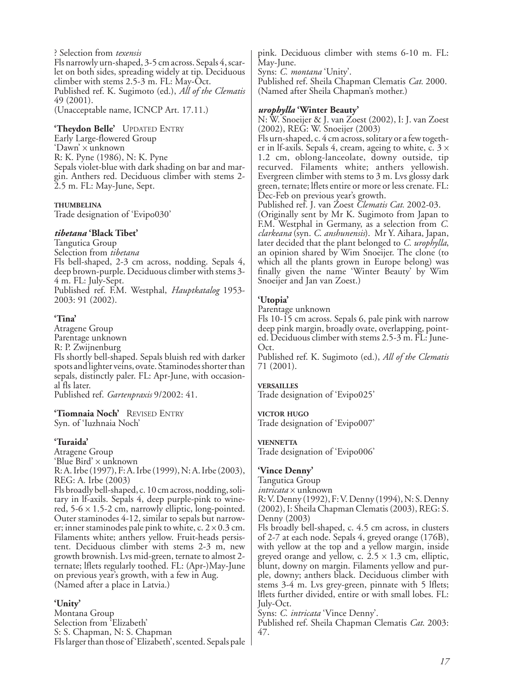? Selection from *texensis* Fls narrowly urn-shaped, 3-5 cm across. Sepals 4, scarlet on both sides, spreading widely at tip. Deciduous climber with stems 2.5-3 m. FL: May-Oct. Published ref. K. Sugimoto (ed.), *All of the Clematis* 49 (2001). (Unacceptable name, ICNCP Art. 17.11.)

**'Theydon Belle'** UPDATED ENTRY Early Large-flowered Group 'Dawn' x unknown R: K. Pyne (1986), N: K. Pyne Sepals violet-blue with dark shading on bar and margin. Anthers red. Deciduous climber with stems 2- 2.5 m. FL: May-June, Sept.

#### **THUMBELINA**

Trade designation of 'Evipo030'

#### *tibetana* **'Black Tibet'**

Tangutica Group Selection from *tibetana* Fls bell-shaped, 2-3 cm across, nodding. Sepals 4, deep brown-purple. Deciduous climber with stems 3- 4 m. FL: July-Sept. Published ref. F.M. Westphal, *Hauptkatalog* 1953- 2003: 91 (2002).

#### **'Tina'**

Atragene Group Parentage unknown R: P. Zwijnenburg Fls shortly bell-shaped. Sepals bluish red with darker spots and lighter veins, ovate. Staminodes shorter than sepals, distinctly paler. FL: Apr-June, with occasional fls later. Published ref. *Gartenpraxis* 9/2002: 41.

**'Tiomnaia Noch'** REVISED ENTRY Syn. of 'Iuzhnaia Noch'

(Named after a place in Latvia.)

#### **'Turaida'**

Atragene Group 'Blue Bird' x unknown R: A. Irbe (1997), F: A. Irbe (1999), N: A. Irbe (2003), REG: A. Irbe (2003) Fls broadly bell-shaped, c. 10 cm across, nodding, solitary in lf-axils. Sepals 4, deep purple-pink to winered,  $5-6 \times 1.5-2$  cm, narrowly elliptic, long-pointed. Outer staminodes 4-12, similar to sepals but narrower; inner staminodes pale pink to white, c.  $2 \times 0.3$  cm.

Filaments white; anthers yellow. Fruit-heads persistent. Deciduous climber with stems 2-3 m, new growth brownish. Lvs mid-green, ternate to almost 2 ternate; lflets regularly toothed. FL: (Apr-)May-June on previous year's growth, with a few in Aug.

**'Unity'**

Montana Group Selection from 'Elizabeth' S: S. Chapman, N: S. Chapman Fls larger than those of 'Elizabeth', scented. Sepals pale pink. Deciduous climber with stems 6-10 m. FL: May-June. Syns: *C. montana* 'Unity'.

Published ref. Sheila Chapman Clematis *Cat.* 2000. (Named after Sheila Chapman's mother.)

#### *urophylla* **'Winter Beauty'**

N: W. Snoeijer & J. van Zoest (2002), I: J. van Zoest (2002), REG: W. Snoeijer (2003)

Fls urn-shaped, c. 4 cm across, solitary or a few together in lf-axils. Sepals 4, cream, ageing to white, c.  $3 \times$ 1.2 cm, oblong-lanceolate, downy outside, tip recurved. Filaments white; anthers yellowish. Evergreen climber with stems to 3 m. Lvs glossy dark green, ternate; lflets entire or more or less crenate. FL: Dec-Feb on previous year's growth.

Published ref. J. van Zoest *Clematis Cat.* 2002-03.

(Originally sent by Mr K. Sugimoto from Japan to F.M. Westphal in Germany, as a selection from *C. clarkeana* (syn. *C*. *anshunensis*). Mr Y. Aihara, Japan, later decided that the plant belonged to *C. urophylla*, an opinion shared by Wim Snoeijer. The clone (to which all the plants grown in Europe belong) was finally given the name 'Winter Beauty' by Wim Snoeijer and Jan van Zoest.)

#### **'Utopia'**

Parentage unknown

Fls 10-15 cm across. Sepals 6, pale pink with narrow deep pink margin, broadly ovate, overlapping, pointed. Deciduous climber with stems 2.5-3 m. FL: June-Oct.

Published ref. K. Sugimoto (ed.), *All of the Clematis* 71 (2001).

#### **VERSAILLES**

Trade designation of 'Evipo025'

#### **VICTOR HUGO**

Trade designation of 'Evipo007'

#### **VIENNETTA**

Trade designation of 'Evipo006'

#### **'Vince Denny'**

Tangutica Group *intricata* x unknown R: V. Denny (1992), F: V. Denny (1994), N: S. Denny (2002), I: Sheila Chapman Clematis (2003), REG: S. Denny (2003)

Fls broadly bell-shaped, c. 4.5 cm across, in clusters of 2-7 at each node. Sepals 4, greyed orange (176B), with yellow at the top and a yellow margin, inside greyed orange and yellow, c.  $2.5 \times 1.3$  cm, elliptic, blunt, downy on margin. Filaments yellow and purple, downy; anthers black. Deciduous climber with stems 3-4 m. Lvs grey-green, pinnate with 5 lflets; lflets further divided, entire or with small lobes. FL: July-Oct.

Syns: *C. intricata* 'Vince Denny'.

Published ref. Sheila Chapman Clematis *Cat*. 2003: 47.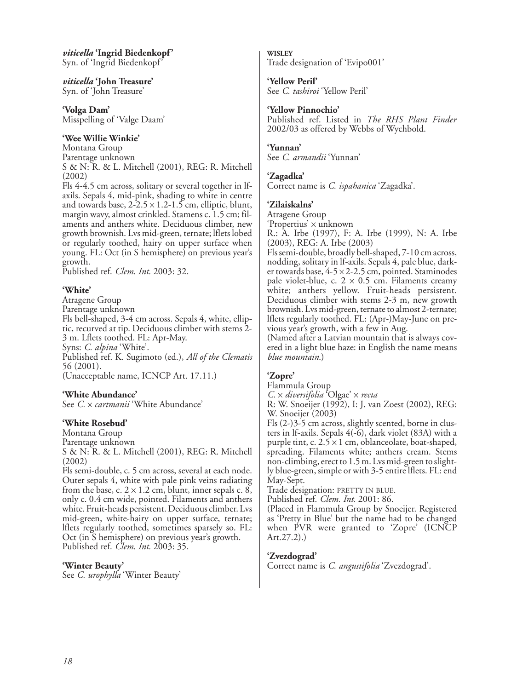*viticella* **'Ingrid Biedenkopf'** Syn. of 'Ingrid Biedenkopf'

*viticella* **'John Treasure'** Syn. of 'John Treasure'

**'Volga Dam'** Misspelling of 'Valge Daam'

### **'Wee Willie Winkie'**

Montana Group Parentage unknown S & N: R. & L. Mitchell (2001), REG: R. Mitchell (2002)

Fls 4-4.5 cm across, solitary or several together in lfaxils. Sepals 4, mid-pink, shading to white in centre and towards base,  $2-2.5 \times 1.2-1.5$  cm, elliptic, blunt, margin wavy, almost crinkled. Stamens c. 1.5 cm; filaments and anthers white. Deciduous climber, new growth brownish. Lvs mid-green, ternate; lflets lobed or regularly toothed, hairy on upper surface when young. FL: Oct (in S hemisphere) on previous year's growth.

Published ref. *Clem. Int.* 2003: 32.

### **'White'**

Atragene Group

Parentage unknown

Fls bell-shaped, 3-4 cm across. Sepals 4, white, elliptic, recurved at tip. Deciduous climber with stems 2- 3 m. Lflets toothed. FL: Apr-May. Syns: *C. alpina* 'White'.

Published ref. K. Sugimoto (ed.), *All of the Clematis* 56 (2001).

(Unacceptable name, ICNCP Art. 17.11.)

#### **'White Abundance'**

See *C.* x *cartmanii* 'White Abundance'

#### **'White Rosebud'**

Montana Group Parentage unknown S & N: R. & L. Mitchell (2001), REG: R. Mitchell (2002)

Fls semi-double, c. 5 cm across, several at each node. Outer sepals 4, white with pale pink veins radiating from the base, c.  $2 \times 1.2$  cm, blunt, inner sepals c. 8, only c. 0.4 cm wide, pointed. Filaments and anthers white. Fruit-heads persistent. Deciduous climber. Lvs mid-green, white-hairy on upper surface, ternate; lflets regularly toothed, sometimes sparsely so. FL: Oct (in S hemisphere) on previous year's growth. Published ref. *Clem. Int.* 2003: 35.

#### **'Winter Beauty'**

See *C. urophylla* 'Winter Beauty'

**WISLEY** Trade designation of 'Evipo001'

#### **'Yellow Peril'**

See *C. tashiroi* 'Yellow Peril'

#### **'Yellow Pinnochio'**

Published ref. Listed in *The RHS Plant Finder* 2002/03 as offered by Webbs of Wychbold.

#### **'Yunnan'**

See *C. armandii* 'Yunnan'

### **'Zagadka'**

Correct name is *C. ispahanica* 'Zagadka'.

### **'Zilaiskalns'**

Atragene Group

'Propertius' x unknown

R.: A. Irbe (1997), F: A. Irbe (1999), N: A. Irbe (2003), REG: A. Irbe (2003)

Fls semi-double, broadly bell-shaped, 7-10 cm across, nodding, solitary in lf-axils. Sepals 4, pale blue, darker towards base, 4-5 x 2-2.5 cm, pointed. Staminodes pale violet-blue, c.  $2 \times 0.5$  cm. Filaments creamy white; anthers yellow. Fruit-heads persistent. Deciduous climber with stems 2-3 m, new growth brownish. Lvs mid-green, ternate to almost 2-ternate; lflets regularly toothed. FL: (Apr-)May-June on previous year's growth, with a few in Aug.

(Named after a Latvian mountain that is always covered in a light blue haze: in English the name means *blue mountain*.)

# **'Zopre'**

Flammula Group

*C.* x *diversifolia* 'Olgae' x *recta*

R: W. Snoeijer (1992), I: J. van Zoest (2002), REG: W. Snoeijer (2003)

Fls (2-)3-5 cm across, slightly scented, borne in clusters in lf-axils. Sepals 4(-6), dark violet (83A) with a purple tint, c.  $2.5 \times 1$  cm, oblanceolate, boat-shaped, spreading. Filaments white; anthers cream. Stems non-climbing, erect to 1.5 m. Lvs mid-green to slightly blue-green, simple or with 3-5 entire lflets. FL: end May-Sept.

Trade designation: PRETTY IN BLUE.

Published ref. *Clem. Int.* 2001: 86.

(Placed in Flammula Group by Snoeijer. Registered as 'Pretty in Blue' but the name had to be changed when PVR were granted to 'Zopre' (ICNCP Art.27.2).)

# **'Zvezdograd'**

Correct name is *C. angustifolia* 'Zvezdograd'.